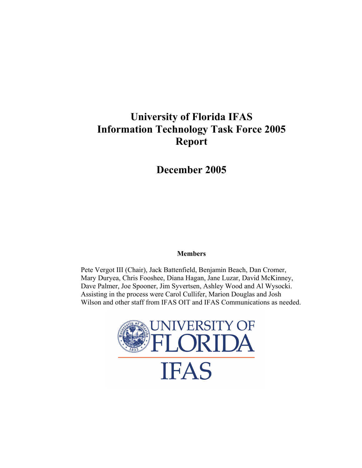# **University of Florida IFAS Information Technology Task Force 2005 Report**

**December 2005** 

## **Members**

Pete Vergot III (Chair), Jack Battenfield, Benjamin Beach, Dan Cromer, Mary Duryea, Chris Fooshee, Diana Hagan, Jane Luzar, David McKinney, Dave Palmer, Joe Spooner, Jim Syvertsen, Ashley Wood and Al Wysocki. Assisting in the process were Carol Cullifer, Marion Douglas and Josh Wilson and other staff from IFAS OIT and IFAS Communications as needed.

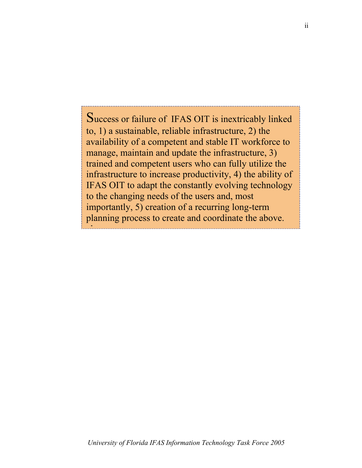Success or failure of IFAS OIT is inextricably linked to, 1) a sustainable, reliable infrastructure, 2) the availability of a competent and stable IT workforce to manage, maintain and update the infrastructure, 3) trained and competent users who can fully utilize the infrastructure to increase productivity, 4) the ability of IFAS OIT to adapt the constantly evolving technology to the changing needs of the users and, most importantly, 5) creation of a recurring long-term planning process to create and coordinate the above. l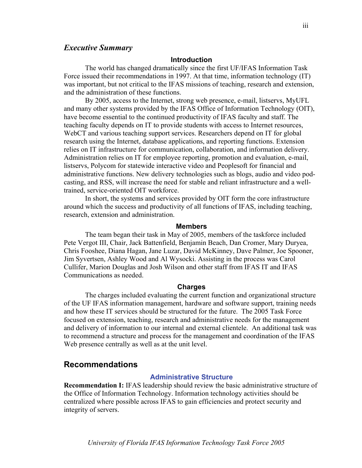## *Executive Summary*

#### **Introduction**

The world has changed dramatically since the first UF/IFAS Information Task Force issued their recommendations in 1997. At that time, information technology (IT) was important, but not critical to the IFAS missions of teaching, research and extension, and the administration of these functions.

By 2005, access to the Internet, strong web presence, e-mail, listservs, MyUFL and many other systems provided by the IFAS Office of Information Technology (OIT), have become essential to the continued productivity of IFAS faculty and staff. The teaching faculty depends on IT to provide students with access to Internet resources, WebCT and various teaching support services. Researchers depend on IT for global research using the Internet, database applications, and reporting functions. Extension relies on IT infrastructure for communication, collaboration, and information delivery. Administration relies on IT for employee reporting, promotion and evaluation, e-mail, listservs, Polycom for statewide interactive video and Peoplesoft for financial and administrative functions. New delivery technologies such as blogs, audio and video podcasting, and RSS, will increase the need for stable and reliant infrastructure and a welltrained, service-oriented OIT workforce.

In short, the systems and services provided by OIT form the core infrastructure around which the success and productivity of all functions of IFAS, including teaching, research, extension and administration.

#### **Members**

The team began their task in May of 2005, members of the taskforce included Pete Vergot III, Chair, Jack Battenfield, Benjamin Beach, Dan Cromer, Mary Duryea, Chris Fooshee, Diana Hagan, Jane Luzar, David McKinney, Dave Palmer, Joe Spooner, Jim Syvertsen, Ashley Wood and Al Wysocki. Assisting in the process was Carol Cullifer, Marion Douglas and Josh Wilson and other staff from IFAS IT and IFAS Communications as needed.

#### **Charges**

The charges included evaluating the current function and organizational structure of the UF IFAS information management, hardware and software support, training needs and how these IT services should be structured for the future. The 2005 Task Force focused on extension, teaching, research and administrative needs for the management and delivery of information to our internal and external clientele. An additional task was to recommend a structure and process for the management and coordination of the IFAS Web presence centrally as well as at the unit level.

## **Recommendations**

## **Administrative Structure**

**Recommendation I:** IFAS leadership should review the basic administrative structure of the Office of Information Technology. Information technology activities should be centralized where possible across IFAS to gain efficiencies and protect security and integrity of servers.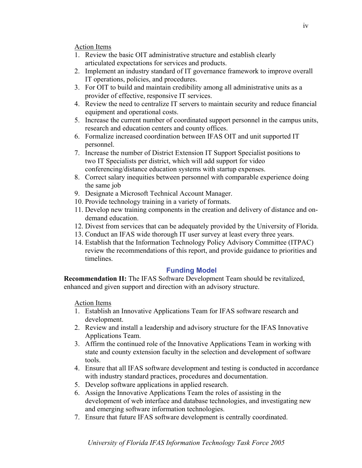Action Items

- 1. Review the basic OIT administrative structure and establish clearly articulated expectations for services and products.
- 2. Implement an industry standard of IT governance framework to improve overall IT operations, policies, and procedures.
- 3. For OIT to build and maintain credibility among all administrative units as a provider of effective, responsive IT services.
- 4. Review the need to centralize IT servers to maintain security and reduce financial equipment and operational costs.
- 5. Increase the current number of coordinated support personnel in the campus units, research and education centers and county offices.
- 6. Formalize increased coordination between IFAS OIT and unit supported IT personnel.
- 7. Increase the number of District Extension IT Support Specialist positions to two IT Specialists per district, which will add support for video conferencing/distance education systems with startup expenses.
- 8. Correct salary inequities between personnel with comparable experience doing the same job
- 9. Designate a Microsoft Technical Account Manager.
- 10. Provide technology training in a variety of formats.
- 11. Develop new training components in the creation and delivery of distance and ondemand education.
- 12. Divest from services that can be adequately provided by the University of Florida.
- 13. Conduct an IFAS wide thorough IT user survey at least every three years.
- 14. Establish that the Information Technology Policy Advisory Committee (ITPAC) review the recommendations of this report, and provide guidance to priorities and timelines.

## **Funding Model**

**Recommendation II:** The IFAS Software Development Team should be revitalized, enhanced and given support and direction with an advisory structure.

## Action Items

- 1. Establish an Innovative Applications Team for IFAS software research and development.
- 2. Review and install a leadership and advisory structure for the IFAS Innovative Applications Team.
- 3. Affirm the continued role of the Innovative Applications Team in working with state and county extension faculty in the selection and development of software tools.
- 4. Ensure that all IFAS software development and testing is conducted in accordance with industry standard practices, procedures and documentation.
- 5. Develop software applications in applied research.
- 6. Assign the Innovative Applications Team the roles of assisting in the development of web interface and database technologies, and investigating new and emerging software information technologies.
- 7. Ensure that future IFAS software development is centrally coordinated.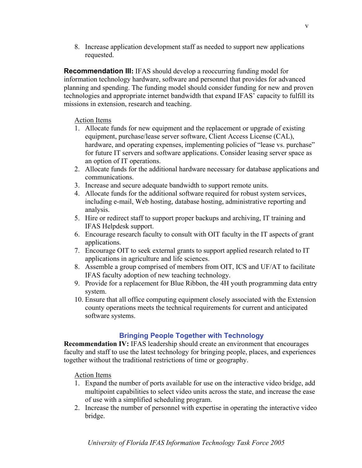8. Increase application development staff as needed to support new applications requested.

**Recommendation III:** IFAS should develop a reoccurring funding model for information technology hardware, software and personnel that provides for advanced planning and spending. The funding model should consider funding for new and proven technologies and appropriate internet bandwidth that expand IFAS' capacity to fulfill its missions in extension, research and teaching.

## Action Items

- 1. Allocate funds for new equipment and the replacement or upgrade of existing equipment, purchase/lease server software, Client Access License (CAL), hardware, and operating expenses, implementing policies of "lease vs. purchase" for future IT servers and software applications. Consider leasing server space as an option of IT operations.
- 2. Allocate funds for the additional hardware necessary for database applications and communications.
- 3. Increase and secure adequate bandwidth to support remote units.
- 4. Allocate funds for the additional software required for robust system services, including e-mail, Web hosting, database hosting, administrative reporting and analysis.
- 5. Hire or redirect staff to support proper backups and archiving, IT training and IFAS Helpdesk support.
- 6. Encourage research faculty to consult with OIT faculty in the IT aspects of grant applications.
- 7. Encourage OIT to seek external grants to support applied research related to IT applications in agriculture and life sciences.
- 8. Assemble a group comprised of members from OIT, ICS and UF/AT to facilitate IFAS faculty adoption of new teaching technology.
- 9. Provide for a replacement for Blue Ribbon, the 4H youth programming data entry system.
- 10. Ensure that all office computing equipment closely associated with the Extension county operations meets the technical requirements for current and anticipated software systems.

## **Bringing People Together with Technology**

**Recommendation IV:** IFAS leadership should create an environment that encourages faculty and staff to use the latest technology for bringing people, places, and experiences together without the traditional restrictions of time or geography.

Action Items

- 1. Expand the number of ports available for use on the interactive video bridge, add multipoint capabilities to select video units across the state, and increase the ease of use with a simplified scheduling program.
- 2. Increase the number of personnel with expertise in operating the interactive video bridge.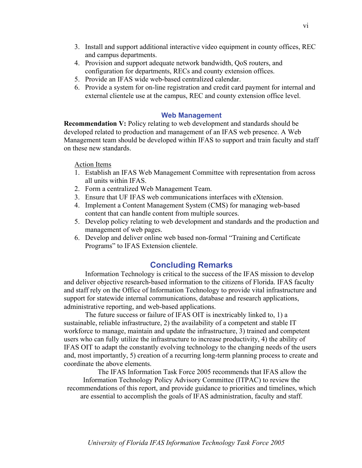- 4. Provision and support adequate network bandwidth, QoS routers, and configuration for departments, RECs and county extension offices.
- 5. Provide an IFAS wide web-based centralized calendar.
- 6. Provide a system for on-line registration and credit card payment for internal and external clientele use at the campus, REC and county extension office level.

## **Web Management**

**Recommendation V:** Policy relating to web development and standards should be developed related to production and management of an IFAS web presence. A Web Management team should be developed within IFAS to support and train faculty and staff on these new standards.

## Action Items

- 1. Establish an IFAS Web Management Committee with representation from across all units within IFAS.
- 2. Form a centralized Web Management Team.
- 3. Ensure that UF IFAS web communications interfaces with eXtension.
- 4. Implement a Content Management System (CMS) for managing web-based content that can handle content from multiple sources.
- 5. Develop policy relating to web development and standards and the production and management of web pages.
- 6. Develop and deliver online web based non-formal "Training and Certificate Programs" to IFAS Extension clientele.

# **Concluding Remarks**

Information Technology is critical to the success of the IFAS mission to develop and deliver objective research-based information to the citizens of Florida. IFAS faculty and staff rely on the Office of Information Technology to provide vital infrastructure and support for statewide internal communications, database and research applications, administrative reporting, and web-based applications.

The future success or failure of IFAS OIT is inextricably linked to, 1) a sustainable, reliable infrastructure, 2) the availability of a competent and stable IT workforce to manage, maintain and update the infrastructure, 3) trained and competent users who can fully utilize the infrastructure to increase productivity, 4) the ability of IFAS OIT to adapt the constantly evolving technology to the changing needs of the users and, most importantly, 5) creation of a recurring long-term planning process to create and coordinate the above elements.

The IFAS Information Task Force 2005 recommends that IFAS allow the Information Technology Policy Advisory Committee (ITPAC) to review the recommendations of this report, and provide guidance to priorities and timelines, which are essential to accomplish the goals of IFAS administration, faculty and staff.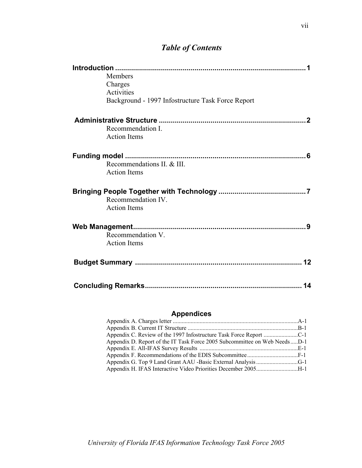# *Table of Contents*

| <b>Members</b>                                    |
|---------------------------------------------------|
| Charges                                           |
| <b>Activities</b>                                 |
| Background - 1997 Infostructure Task Force Report |
|                                                   |
| Recommendation I.                                 |
| <b>Action Items</b>                               |
| .6                                                |
| Recommendations II. & III.                        |
| <b>Action Items</b>                               |
|                                                   |
| Recommendation IV.                                |
| <b>Action Items</b>                               |
| q                                                 |
| Recommendation V.                                 |
| <b>Action Items</b>                               |
|                                                   |
| 14                                                |

# **Appendices**

| Appendix D. Report of the IT Task Force 2005 Subcommittee on Web NeedsD-1 |  |
|---------------------------------------------------------------------------|--|
|                                                                           |  |
|                                                                           |  |
|                                                                           |  |
| Appendix H. IFAS Interactive Video Priorities December 2005H-1            |  |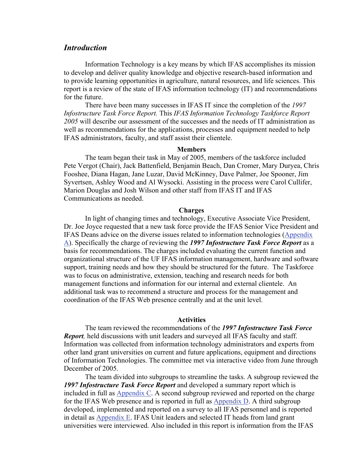## *Introduction*

Information Technology is a key means by which IFAS accomplishes its mission to develop and deliver quality knowledge and objective research-based information and to provide learning opportunities in agriculture, natural resources, and life sciences. This report is a review of the state of IFAS information technology (IT) and recommendations for the future.

There have been many successes in IFAS IT since the completion of the *1997 Infostructure Task Force Report.* This *IFAS Information Technology Taskforce Report 2005* will describe our assessment of the successes and the needs of IT administration as well as recommendations for the applications, processes and equipment needed to help IFAS administrators, faculty, and staff assist their clientele.

#### **Members**

The team began their task in May of 2005, members of the taskforce included Pete Vergot (Chair), Jack Battenfield, Benjamin Beach, Dan Cromer, Mary Duryea, Chris Fooshee, Diana Hagan, Jane Luzar, David McKinney, Dave Palmer, Joe Spooner, Jim Syvertsen, Ashley Wood and Al Wysocki. Assisting in the process were Carol Cullifer, Marion Douglas and Josh Wilson and other staff from IFAS IT and IFAS Communications as needed.

#### **Charges**

In light of changing times and technology, Executive Associate Vice President, Dr. Joe Joyce requested that a new task force provide the IFAS Senior Vice President and IFAS Deans advice on the diverse issues related to information technologies (Appendix A). Specifically the charge of reviewing the *1997 Infostructure Task Force Report* as a basis for recommendations. The charges included evaluating the current function and organizational structure of the UF IFAS information management, hardware and software support, training needs and how they should be structured for the future. The Taskforce was to focus on administrative, extension, teaching and research needs for both management functions and information for our internal and external clientele. An additional task was to recommend a structure and process for the management and coordination of the IFAS Web presence centrally and at the unit level.

#### **Activities**

The team reviewed the recommendations of the *1997 Infostructure Task Force Report,* held discussions with unit leaders and surveyed all IFAS faculty and staff. Information was collected from information technology administrators and experts from other land grant universities on current and future applications, equipment and directions of Information Technologies. The committee met via interactive video from June through December of 2005.

The team divided into subgroups to streamline the tasks. A subgroup reviewed the *1997 Infostructure Task Force Report* and developed a summary report which is included in full as Appendix C. A second subgroup reviewed and reported on the charge for the IFAS Web presence and is reported in full as Appendix D. A third subgroup developed, implemented and reported on a survey to all IFAS personnel and is reported in detail as Appendix E. IFAS Unit leaders and selected IT heads from land grant universities were interviewed. Also included in this report is information from the IFAS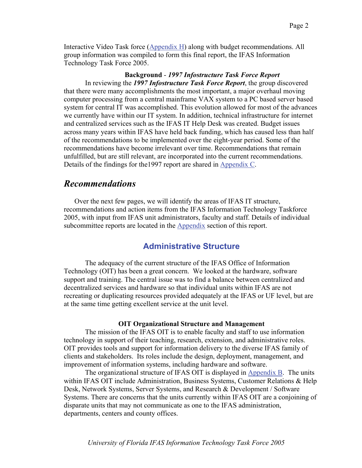Interactive Video Task force (Appendix H) along with budget recommendations. All group information was compiled to form this final report, the IFAS Information Technology Task Force 2005.

## **Background** - *1997 Infostructure Task Force Report* In reviewing the *1997 Infostructure Task Force Report*, the group discovered that there were many accomplishments the most important, a major overhaul moving computer processing from a central mainframe VAX system to a PC based server based system for central IT was accomplished. This evolution allowed for most of the advances we currently have within our IT system. In addition, technical infrastructure for internet and centralized services such as the IFAS IT Help Desk was created. Budget issues across many years within IFAS have held back funding, which has caused less than half of the recommendations to be implemented over the eight-year period. Some of the

recommendations have become irrelevant over time. Recommendations that remain unfulfilled, but are still relevant, are incorporated into the current recommendations. Details of the findings for the1997 report are shared in Appendix C.

## *Recommendations*

Over the next few pages, we will identify the areas of IFAS IT structure, recommendations and action items from the IFAS Information Technology Taskforce 2005, with input from IFAS unit administrators, faculty and staff. Details of individual subcommittee reports are located in the Appendix section of this report.

## **Administrative Structure**

The adequacy of the current structure of the IFAS Office of Information Technology (OIT) has been a great concern. We looked at the hardware, software support and training. The central issue was to find a balance between centralized and decentralized services and hardware so that individual units within IFAS are not recreating or duplicating resources provided adequately at the IFAS or UF level, but are at the same time getting excellent service at the unit level.

## **OIT Organizational Structure and Management**

The mission of the IFAS OIT is to enable faculty and staff to use information technology in support of their teaching, research, extension, and administrative roles. OIT provides tools and support for information delivery to the diverse IFAS family of clients and stakeholders. Its roles include the design, deployment, management, and improvement of information systems, including hardware and software.

The organizational structure of IFAS OIT is displayed in Appendix B. The units within IFAS OIT include Administration, Business Systems, Customer Relations & Help Desk, Network Systems, Server Systems, and Research & Development / Software Systems. There are concerns that the units currently within IFAS OIT are a conjoining of disparate units that may not communicate as one to the IFAS administration, departments, centers and county offices.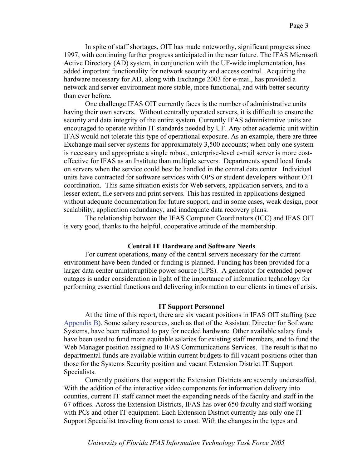In spite of staff shortages, OIT has made noteworthy, significant progress since 1997, with continuing further progress anticipated in the near future. The IFAS Microsoft Active Directory (AD) system, in conjunction with the UF-wide implementation, has added important functionality for network security and access control. Acquiring the hardware necessary for AD, along with Exchange 2003 for e-mail, has provided a network and server environment more stable, more functional, and with better security than ever before.

One challenge IFAS OIT currently faces is the number of administrative units having their own servers. Without centrally operated servers, it is difficult to ensure the security and data integrity of the entire system. Currently IFAS administrative units are encouraged to operate within IT standards needed by UF. Any other academic unit within IFAS would not tolerate this type of operational exposure. As an example, there are three Exchange mail server systems for approximately 3,500 accounts; when only one system is necessary and appropriate a single robust, enterprise-level e-mail server is more costeffective for IFAS as an Institute than multiple servers. Departments spend local funds on servers when the service could best be handled in the central data center. Individual units have contracted for software services with OPS or student developers without OIT coordination. This same situation exists for Web servers, application servers, and to a lesser extent, file servers and print servers. This has resulted in applications designed without adequate documentation for future support, and in some cases, weak design, poor scalability, application redundancy, and inadequate data recovery plans.

The relationship between the IFAS Computer Coordinators (ICC) and IFAS OIT is very good, thanks to the helpful, cooperative attitude of the membership.

#### **Central IT Hardware and Software Needs**

For current operations, many of the central servers necessary for the current environment have been funded or funding is planned. Funding has been provided for a larger data center uninterruptible power source (UPS). A generator for extended power outages is under consideration in light of the importance of information technology for performing essential functions and delivering information to our clients in times of crisis.

#### **IT Support Personnel**

At the time of this report, there are six vacant positions in IFAS OIT staffing (see Appendix B). Some salary resources, such as that of the Assistant Director for Software Systems, have been redirected to pay for needed hardware. Other available salary funds have been used to fund more equitable salaries for existing staff members, and to fund the Web Manager position assigned to IFAS Communications Services. The result is that no departmental funds are available within current budgets to fill vacant positions other than those for the Systems Security position and vacant Extension District IT Support Specialists.

Currently positions that support the Extension Districts are severely understaffed. With the addition of the interactive video components for information delivery into counties, current IT staff cannot meet the expanding needs of the faculty and staff in the 67 offices. Across the Extension Districts, IFAS has over 650 faculty and staff working with PCs and other IT equipment. Each Extension District currently has only one IT Support Specialist traveling from coast to coast. With the changes in the types and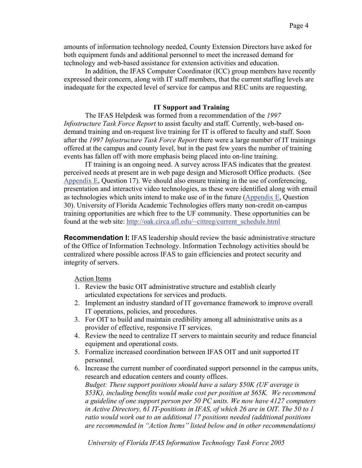amounts of information technology needed, County Extension Directors have asked for both equipment funds and additional personnel to meet the increased demand for technology and web-based assistance for extension activities and education.

In addition, the IFAS Computer Coordinator (ICC) group members have recently expressed their concern, along with IT staff members, that the current staffing levels are inadequate for the expected level of service for campus and REC units are requesting.

## **IT Support and Training**

The IFAS Helpdesk was formed from a recommendation of the *1997 Infostructure Task Force Report* to assist faculty and staff. Currently, web-based ondemand training and on-request live training for IT is offered to faculty and staff. Soon after the *1997 Infostructure Task Force Report* there were a large number of IT trainings offered at the campus and county level, but in the past few years the number of training events has fallen off with more emphasis being placed into on-line training.

IT training is an ongoing need. A survey across IFAS indicates that the greatest perceived needs at present are in web page design and Microsoft Office products. (See Appendix E, Question 17). We should also ensure training in the use of conferencing, presentation and interactive video technologies, as these were identified along with email as technologies which units intend to make use of in the future (Appendix E, Question 30). University of Florida Academic Technologies offers many non-credit on-campus training opportunities are which free to the UF community. These opportunities can be found at the web site: http://oak.circa.ufl.edu/~cittreg/current\_schedule.html

**Recommendation I:** IFAS leadership should review the basic administrative structure of the Office of Information Technology. Information Technology activities should be centralized where possible across IFAS to gain efficiencies and protect security and integrity of servers.

Action Items

- 1. Review the basic OIT administrative structure and establish clearly articulated expectations for services and products.
- 2. Implement an industry standard of IT governance framework to improve overall IT operations, policies, and procedures.
- 3. For OIT to build and maintain credibility among all administrative units as a provider of effective, responsive IT services.
- 4. Review the need to centralize IT servers to maintain security and reduce financial equipment and operational costs.
- 5. Formalize increased coordination between IFAS OIT and unit supported IT personnel.
- 6. Increase the current number of coordinated support personnel in the campus units, research and education centers and county offices. *Budget: These support positions should have a salary \$50K (UF average is \$53K), including benefits would make cost per position at \$65K. We recommend a guideline of one support person per 50 PC units. We now have 4127 computers in Active Directory, 61 IT-positions in IFAS, of which 26 are in OIT. The 50 to 1 ratio would work out to an additional 17 positions needed (additional positions are recommended in "Action Items" listed below and in other recommendations)*

*University of Florida IFAS Information Technology Task Force 2005*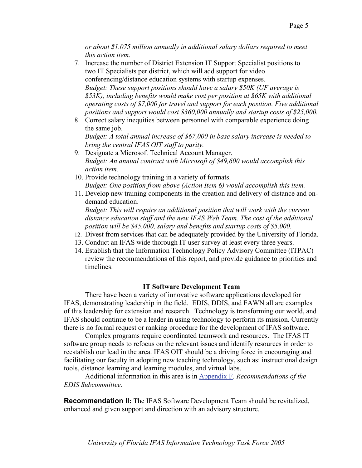*or about \$1.075 million annually in additional salary dollars required to meet this action item.* 

- 7. Increase the number of District Extension IT Support Specialist positions to two IT Specialists per district, which will add support for video conferencing/distance education systems with startup expenses. *Budget: These support positions should have a salary \$50K (UF average is \$53K), including benefits would make cost per position at \$65K with additional operating costs of \$7,000 for travel and support for each position. Five additional positions and support would cost \$360,000 annually and startup costs of \$25,000.*
- 8. Correct salary inequities between personnel with comparable experience doing the same job.

*Budget: A total annual increase of \$67,000 in base salary increase is needed to bring the central IFAS OIT staff to parity.* 

- 9. Designate a Microsoft Technical Account Manager. *Budget: An annual contract with Microsoft of \$49,600 would accomplish this action item.*
- 10. Provide technology training in a variety of formats. *Budget: One position from above (Action Item 6) would accomplish this item.*
- 11. Develop new training components in the creation and delivery of distance and ondemand education.

*Budget: This will require an additional position that will work with the current distance education staff and the new IFAS Web Team. The cost of the additional position will be \$45,000, salary and benefits and startup costs of \$5,000.* 

- 12. Divest from services that can be adequately provided by the University of Florida.
- 13. Conduct an IFAS wide thorough IT user survey at least every three years.
- 14. Establish that the Information Technology Policy Advisory Committee (ITPAC) review the recommendations of this report, and provide guidance to priorities and timelines.

## **IT Software Development Team**

There have been a variety of innovative software applications developed for IFAS, demonstrating leadership in the field. EDIS, DDIS, and FAWN all are examples of this leadership for extension and research. Technology is transforming our world, and IFAS should continue to be a leader in using technology to perform its mission. Currently there is no formal request or ranking procedure for the development of IFAS software.

Complex programs require coordinated teamwork and resources. The IFAS IT software group needs to refocus on the relevant issues and identify resources in order to reestablish our lead in the area. IFAS OIT should be a driving force in encouraging and facilitating our faculty in adopting new teaching technology, such as: instructional design tools, distance learning and learning modules, and virtual labs.

Additional information in this area is in Appendix F. *Recommendations of the EDIS Subcommittee.*

**Recommendation II:** The IFAS Software Development Team should be revitalized, enhanced and given support and direction with an advisory structure.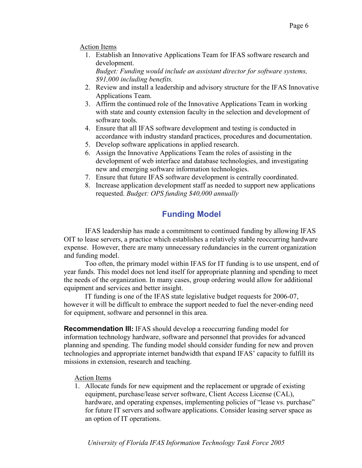## Action Items

1. Establish an Innovative Applications Team for IFAS software research and development.

*Budget: Funding would include an assistant director for software systems, \$91,000 including benefits.*

- 2. Review and install a leadership and advisory structure for the IFAS Innovative Applications Team.
- 3. Affirm the continued role of the Innovative Applications Team in working with state and county extension faculty in the selection and development of software tools.
- 4. Ensure that all IFAS software development and testing is conducted in accordance with industry standard practices, procedures and documentation.
- 5. Develop software applications in applied research.
- 6. Assign the Innovative Applications Team the roles of assisting in the development of web interface and database technologies, and investigating new and emerging software information technologies.
- 7. Ensure that future IFAS software development is centrally coordinated.
- 8. Increase application development staff as needed to support new applications requested. *Budget: OPS funding \$40,000 annually*

# **Funding Model**

IFAS leadership has made a commitment to continued funding by allowing IFAS OIT to lease servers, a practice which establishes a relatively stable reoccurring hardware expense. However, there are many unnecessary redundancies in the current organization and funding model.

Too often, the primary model within IFAS for IT funding is to use unspent, end of year funds. This model does not lend itself for appropriate planning and spending to meet the needs of the organization. In many cases, group ordering would allow for additional equipment and services and better insight.

IT funding is one of the IFAS state legislative budget requests for 2006-07, however it will be difficult to embrace the support needed to fuel the never-ending need for equipment, software and personnel in this area.

**Recommendation III:** IFAS should develop a reoccurring funding model for information technology hardware, software and personnel that provides for advanced planning and spending. The funding model should consider funding for new and proven technologies and appropriate internet bandwidth that expand IFAS' capacity to fulfill its missions in extension, research and teaching.

## Action Items

1. Allocate funds for new equipment and the replacement or upgrade of existing equipment, purchase/lease server software, Client Access License (CAL), hardware, and operating expenses, implementing policies of "lease vs. purchase" for future IT servers and software applications. Consider leasing server space as an option of IT operations.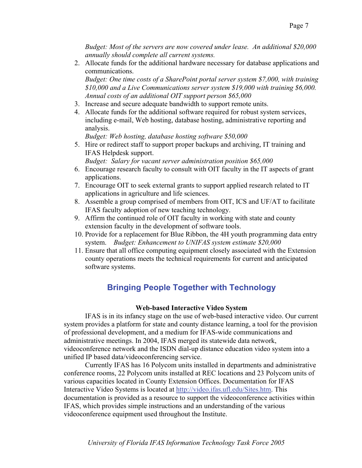*Budget: Most of the servers are now covered under lease. An additional \$20,000 annually should complete all current systems.* 

2. Allocate funds for the additional hardware necessary for database applications and communications.

*Budget: One time costs of a SharePoint portal server system \$7,000, with training \$10,000 and a Live Communications server system \$19,000 with training \$6,000. Annual costs of an additional OIT support person \$65,000* 

- 3. Increase and secure adequate bandwidth to support remote units.
- 4. Allocate funds for the additional software required for robust system services, including e-mail, Web hosting, database hosting, administrative reporting and analysis.

*Budget: Web hosting, database hosting software \$50,000* 

5. Hire or redirect staff to support proper backups and archiving, IT training and IFAS Helpdesk support.

*Budget: Salary for vacant server administration position \$65,000*

- 6. Encourage research faculty to consult with OIT faculty in the IT aspects of grant applications.
- 7. Encourage OIT to seek external grants to support applied research related to IT applications in agriculture and life sciences.
- 8. Assemble a group comprised of members from OIT, ICS and UF/AT to facilitate IFAS faculty adoption of new teaching technology.
- 9. Affirm the continued role of OIT faculty in working with state and county extension faculty in the development of software tools.
- 10. Provide for a replacement for Blue Ribbon, the 4H youth programming data entry system. *Budget: Enhancement to UNIFAS system estimate \$20,000*
- 11. Ensure that all office computing equipment closely associated with the Extension county operations meets the technical requirements for current and anticipated software systems.

# **Bringing People Together with Technology**

## **Web-based Interactive Video System**

IFAS is in its infancy stage on the use of web-based interactive video. Our current system provides a platform for state and county distance learning, a tool for the provision of professional development, and a medium for IFAS-wide communications and administrative meetings. In 2004, IFAS merged its statewide data network, videoconference network and the ISDN dial-up distance education video system into a unified IP based data/videoconferencing service.

Currently IFAS has 16 Polycom units installed in departments and administrative conference rooms, 22 Polycom units installed at REC locations and 23 Polycom units of various capacities located in County Extension Offices. Documentation for IFAS Interactive Video Systems is located at http://video.ifas.ufl.edu/Sites.htm. This documentation is provided as a resource to support the videoconference activities within IFAS, which provides simple instructions and an understanding of the various videoconference equipment used throughout the Institute.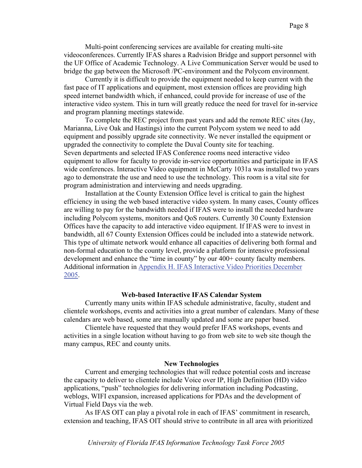Multi-point conferencing services are available for creating multi-site videoconferences. Currently IFAS shares a Radvision Bridge and support personnel with the UF Office of Academic Technology. A Live Communication Server would be used to bridge the gap between the Microsoft /PC-environment and the Polycom environment.

Currently it is difficult to provide the equipment needed to keep current with the fast pace of IT applications and equipment, most extension offices are providing high speed internet bandwidth which, if enhanced, could provide for increase of use of the interactive video system. This in turn will greatly reduce the need for travel for in-service and program planning meetings statewide.

To complete the REC project from past years and add the remote REC sites (Jay, Marianna, Live Oak and Hastings) into the current Polycom system we need to add equipment and possibly upgrade site connectivity. We never installed the equipment or upgraded the connectivity to complete the Duval County site for teaching. Seven departments and selected IFAS Conference rooms need interactive video equipment to allow for faculty to provide in-service opportunities and participate in IFAS wide conferences. Interactive Video equipment in McCarty 1031a was installed two years ago to demonstrate the use and need to use the technology. This room is a vital site for program administration and interviewing and needs upgrading.

Installation at the County Extension Office level is critical to gain the highest efficiency in using the web based interactive video system. In many cases, County offices are willing to pay for the bandwidth needed if IFAS were to install the needed hardware including Polycom systems, monitors and QoS routers. Currently 30 County Extension Offices have the capacity to add interactive video equipment. If IFAS were to invest in bandwidth, all 67 County Extension Offices could be included into a statewide network. This type of ultimate network would enhance all capacities of delivering both formal and non-formal education to the county level, provide a platform for intensive professional development and enhance the "time in county" by our 400+ county faculty members. Additional information in Appendix H. IFAS Interactive Video Priorities December 2005.

#### **Web-based Interactive IFAS Calendar System**

Currently many units within IFAS schedule administrative, faculty, student and clientele workshops, events and activities into a great number of calendars. Many of these calendars are web based, some are manually updated and some are paper based.

Clientele have requested that they would prefer IFAS workshops, events and activities in a single location without having to go from web site to web site though the many campus, REC and county units.

#### **New Technologies**

Current and emerging technologies that will reduce potential costs and increase the capacity to deliver to clientele include Voice over IP, High Definition (HD) video applications, "push" technologies for delivering information including Podcasting, weblogs, WIFI expansion, increased applications for PDAs and the development of Virtual Field Days via the web.

As IFAS OIT can play a pivotal role in each of IFAS' commitment in research, extension and teaching, IFAS OIT should strive to contribute in all area with prioritized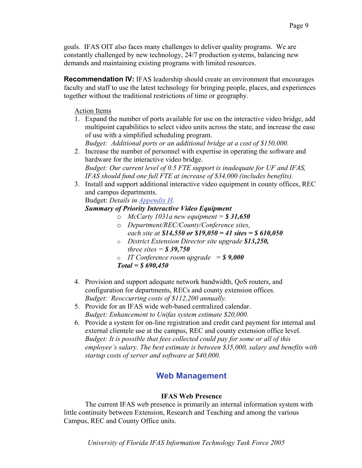goals. IFAS OIT also faces many challenges to deliver quality programs. We are constantly challenged by new technology, 24/7 production systems, balancing new demands and maintaining existing programs with limited resources.

**Recommendation IV:** IFAS leadership should create an environment that encourages faculty and staff to use the latest technology for bringing people, places, and experiences together without the traditional restrictions of time or geography.

## Action Items

- 1. Expand the number of ports available for use on the interactive video bridge, add multipoint capabilities to select video units across the state, and increase the ease of use with a simplified scheduling program. *Budget: Additional ports or an additional bridge at a cost of \$150,000.*
- 2. Increase the number of personnel with expertise in operating the software and hardware for the interactive video bridge. *Budget: Our current level of 0.5 FTE support is inadequate for UF and IFAS, IFAS should fund one full FTE at increase of \$34,000 (includes benefits).*
- 3. Install and support additional interactive video equipment in county offices, REC and campus departments.

Budget: *Details in Appendix H.* 

## *Summary of Priority Interactive Video Equipment*

- o *McCarty 1031a new equipment = \$ 31,650* o *Department/REC/County/Conference sites, each site at \$14,550 or \$19,050 = 41 sites = \$ 610,050*
- o *District Extension Director site upgrade \$13,250, three sites = \$ 39,750*
- o *IT Conference room upgrade = \$ 9,000 Total = \$ 690,450*
- 4. Provision and support adequate network bandwidth, QoS routers, and configuration for departments, RECs and county extension offices. *Budget: Reoccurring costs of \$112,200 annually.*
- 5. Provide for an IFAS wide web-based centralized calendar. *Budget: Enhancement to Unifas system estimate \$20,000.*
- 6. Provide a system for on-line registration and credit card payment for internal and external clientele use at the campus, REC and county extension office level. *Budget: It is possible that fees collected could pay for some or all of this employee's salary. The best estimate is between \$35,000, salary and benefits with startup costs of server and software at \$40,000.*

# **Web Management**

## **IFAS Web Presence**

 The current IFAS web presence is primarily an internal information system with little continuity between Extension, Research and Teaching and among the various Campus, REC and County Office units.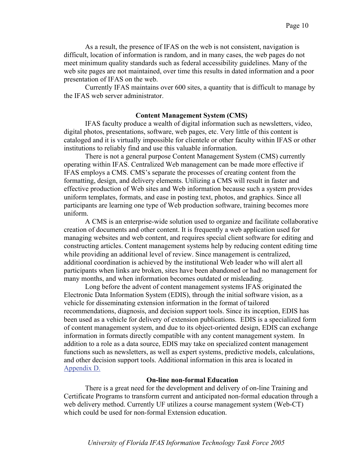As a result, the presence of IFAS on the web is not consistent, navigation is difficult, location of information is random, and in many cases, the web pages do not meet minimum quality standards such as federal accessibility guidelines. Many of the web site pages are not maintained, over time this results in dated information and a poor presentation of IFAS on the web.

 Currently IFAS maintains over 600 sites, a quantity that is difficult to manage by the IFAS web server administrator.

#### **Content Management System (CMS)**

IFAS faculty produce a wealth of digital information such as newsletters, video, digital photos, presentations, software, web pages, etc. Very little of this content is cataloged and it is virtually impossible for clientele or other faculty within IFAS or other institutions to reliably find and use this valuable information.

There is not a general purpose Content Management System (CMS) currently operating within IFAS. Centralized Web management can be made more effective if IFAS employs a CMS. CMS's separate the processes of creating content from the formatting, design, and delivery elements. Utilizing a CMS will result in faster and effective production of Web sites and Web information because such a system provides uniform templates, formats, and ease in posting text, photos, and graphics. Since all participants are learning one type of Web production software, training becomes more uniform.

A CMS is an enterprise-wide solution used to organize and facilitate collaborative creation of documents and other content. It is frequently a web application used for managing websites and web content, and requires special client software for editing and constructing articles. Content management systems help by reducing content editing time while providing an additional level of review. Since management is centralized, additional coordination is achieved by the institutional Web leader who will alert all participants when links are broken, sites have been abandoned or had no management for many months, and when information becomes outdated or misleading.

Long before the advent of content management systems IFAS originated the Electronic Data Information System (EDIS), through the initial software vision, as a vehicle for disseminating extension information in the format of tailored recommendations, diagnosis, and decision support tools. Since its inception, EDIS has been used as a vehicle for delivery of extension publications. EDIS is a specialized form of content management system, and due to its object-oriented design, EDIS can exchange information in formats directly compatible with any content management system. In addition to a role as a data source, EDIS may take on specialized content management functions such as newsletters, as well as expert systems, predictive models, calculations, and other decision support tools. Additional information in this area is located in Appendix D.

## **On-line non-formal Education**

 There is a great need for the development and delivery of on-line Training and Certificate Programs to transform current and anticipated non-formal education through a web delivery method. Currently UF utilizes a course management system (Web-CT) which could be used for non-formal Extension education.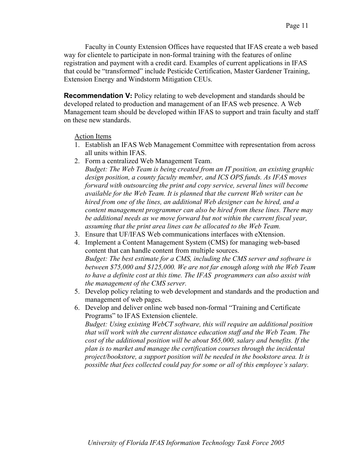Faculty in County Extension Offices have requested that IFAS create a web based way for clientele to participate in non-formal training with the features of online registration and payment with a credit card. Examples of current applications in IFAS that could be "transformed" include Pesticide Certification, Master Gardener Training, Extension Energy and Windstorm Mitigation CEUs.

**Recommendation V:** Policy relating to web development and standards should be developed related to production and management of an IFAS web presence. A Web Management team should be developed within IFAS to support and train faculty and staff on these new standards.

## Action Items

- 1. Establish an IFAS Web Management Committee with representation from across all units within IFAS.
- 2. Form a centralized Web Management Team.

*Budget: The Web Team is being created from an IT position, an existing graphic design position, a county faculty member, and ICS OPS funds. As IFAS moves forward with outsourcing the print and copy service, several lines will become available for the Web Team. It is planned that the current Web writer can be hired from one of the lines, an additional Web designer can be hired, and a content management programmer can also be hired from these lines. There may be additional needs as we move forward but not within the current fiscal year, assuming that the print area lines can be allocated to the Web Team.* 

- 3. Ensure that UF/IFAS Web communications interfaces with eXtension.
- 4. Implement a Content Management System (CMS) for managing web-based content that can handle content from multiple sources. *Budget: The best estimate for a CMS, including the CMS server and software is between \$75,000 and \$125,000. We are not far enough along with the Web Team to have a definite cost at this time. The IFAS programmers can also assist with the management of the CMS server.*
- 5. Develop policy relating to web development and standards and the production and management of web pages.
- 6. Develop and deliver online web based non-formal "Training and Certificate Programs" to IFAS Extension clientele. *Budget: Using existing WebCT software, this will require an additional position that will work with the current distance education staff and the Web Team. The cost of the additional position will be about \$65,000, salary and benefits. If the plan is to market and manage the certification courses through the incidental project/bookstore, a support position will be needed in the bookstore area. It is possible that fees collected could pay for some or all of this employee's salary.*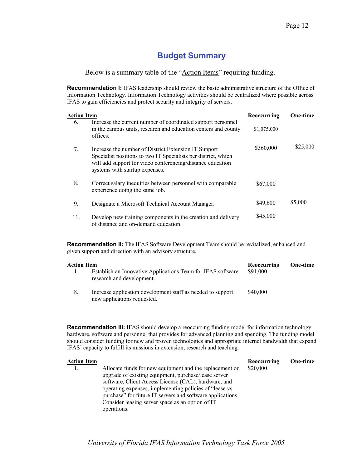# **Budget Summary**

Below is a summary table of the "Action Items" requiring funding.

**Recommendation I:** IFAS leadership should review the basic administrative structure of the Office of Information Technology. Information Technology activities should be centralized where possible across IFAS to gain efficiencies and protect security and integrity of servers.

|     | Action Item                                                                                                                                                                                                            |                            | <b>One-time</b> |
|-----|------------------------------------------------------------------------------------------------------------------------------------------------------------------------------------------------------------------------|----------------------------|-----------------|
| 6.  | Increase the current number of coordinated support personnel<br>in the campus units, research and education centers and county<br>offices.                                                                             | Reoccurring<br>\$1,075,000 |                 |
| 7.  | Increase the number of District Extension IT Support<br>Specialist positions to two IT Specialists per district, which<br>will add support for video conferencing/distance education<br>systems with startup expenses. | \$360,000                  | \$25,000        |
| 8.  | Correct salary inequities between personnel with comparable<br>experience doing the same job.                                                                                                                          | \$67,000                   |                 |
| 9.  | Designate a Microsoft Technical Account Manager.                                                                                                                                                                       | \$49,600                   | \$5,000         |
| 11. | Develop new training components in the creation and delivery<br>of distance and on-demand education.                                                                                                                   | \$45,000                   |                 |

**Recommendation II:** The IFAS Software Development Team should be revitalized, enhanced and given support and direction with an advisory structure.

| Action Item |                                                                                            | Reoccurring | One-time |
|-------------|--------------------------------------------------------------------------------------------|-------------|----------|
|             | Establish an Innovative Applications Team for IFAS software<br>research and development.   | \$91,000    |          |
| 8.          | Increase application development staff as needed to support<br>new applications requested. | \$40,000    |          |

**Recommendation III:** IFAS should develop a reoccurring funding model for information technology hardware, software and personnel that provides for advanced planning and spending. The funding model should consider funding for new and proven technologies and appropriate internet bandwidth that expand IFAS' capacity to fulfill its missions in extension, research and teaching.

| <b>Action Item</b> |                                                                                                                                                                                                                                                                                                                                                      | Reoccurring | One-time |
|--------------------|------------------------------------------------------------------------------------------------------------------------------------------------------------------------------------------------------------------------------------------------------------------------------------------------------------------------------------------------------|-------------|----------|
| 1.                 | Allocate funds for new equipment and the replacement or<br>upgrade of existing equipment, purchase/lease server<br>software, Client Access License (CAL), hardware, and<br>operating expenses, implementing policies of "lease vs.<br>purchase" for future IT servers and software applications.<br>Consider leasing server space as an option of IT | \$20,000    |          |
|                    | operations.                                                                                                                                                                                                                                                                                                                                          |             |          |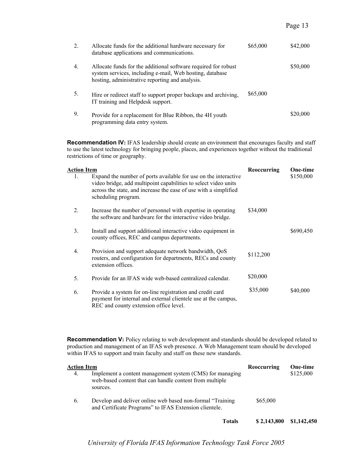Page 13

| 2. | Allocate funds for the additional hardware necessary for<br>database applications and communications.                                                                         | \$65,000 | \$42,000 |
|----|-------------------------------------------------------------------------------------------------------------------------------------------------------------------------------|----------|----------|
| 4. | Allocate funds for the additional software required for robust<br>system services, including e-mail, Web hosting, database<br>hosting, administrative reporting and analysis. |          | \$50,000 |
| 5. | Hire or redirect staff to support proper backups and archiving,<br>IT training and Helpdesk support.                                                                          | \$65,000 |          |
| 9. | Provide for a replacement for Blue Ribbon, the 4H youth<br>programming data entry system.                                                                                     |          | \$20,000 |

**Recommendation IV:** IFAS leadership should create an environment that encourages faculty and staff to use the latest technology for bringing people, places, and experiences together without the traditional restrictions of time or geography.

| Action Item      |                                                                                                                                                                                                                               | Reoccurring | <b>One-time</b> |
|------------------|-------------------------------------------------------------------------------------------------------------------------------------------------------------------------------------------------------------------------------|-------------|-----------------|
| 1.               | Expand the number of ports available for use on the interactive<br>video bridge, add multipoint capabilities to select video units<br>across the state, and increase the ease of use with a simplified<br>scheduling program. |             | \$150,000       |
| 2.               | Increase the number of personnel with expertise in operating<br>the software and hardware for the interactive video bridge.                                                                                                   | \$34,000    |                 |
| 3.               | Install and support additional interactive video equipment in<br>county offices, REC and campus departments.                                                                                                                  |             | \$690,450       |
| $\overline{4}$ . | Provision and support adequate network bandwidth, QoS<br>routers, and configuration for departments, RECs and county<br>extension offices.                                                                                    | \$112,200   |                 |
| 5.               | Provide for an IFAS wide web-based centralized calendar.                                                                                                                                                                      | \$20,000    |                 |
| 6.               | Provide a system for on-line registration and credit card<br>payment for internal and external clientele use at the campus,<br>REC and county extension office level.                                                         | \$35,000    | \$40,000        |

**Recommendation V:** Policy relating to web development and standards should be developed related to production and management of an IFAS web presence. A Web Management team should be developed within IFAS to support and train faculty and staff on these new standards.

| Action Item |                                                                                                                                 | Reoccurring | <b>One-time</b> |
|-------------|---------------------------------------------------------------------------------------------------------------------------------|-------------|-----------------|
| 4.          | Implement a content management system (CMS) for managing<br>web-based content that can handle content from multiple<br>sources. |             | \$125,000       |
| 6.          | Develop and deliver online web based non-formal "Training"<br>and Certificate Programs" to IFAS Extension clientele.            | \$65,000    |                 |
|             | <b>Totals</b>                                                                                                                   | \$2,143,800 | \$1,142,450     |

*University of Florida IFAS Information Technology Task Force 2005*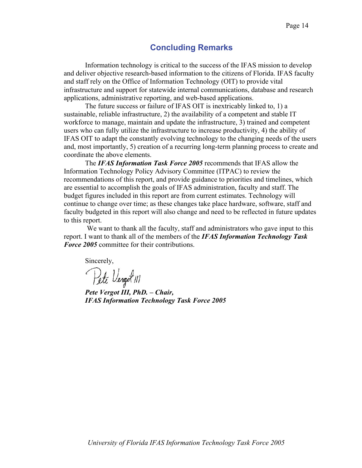## **Concluding Remarks**

Information technology is critical to the success of the IFAS mission to develop and deliver objective research-based information to the citizens of Florida. IFAS faculty and staff rely on the Office of Information Technology (OIT) to provide vital infrastructure and support for statewide internal communications, database and research applications, administrative reporting, and web-based applications.

The future success or failure of IFAS OIT is inextricably linked to, 1) a sustainable, reliable infrastructure, 2) the availability of a competent and stable IT workforce to manage, maintain and update the infrastructure, 3) trained and competent users who can fully utilize the infrastructure to increase productivity, 4) the ability of IFAS OIT to adapt the constantly evolving technology to the changing needs of the users and, most importantly, 5) creation of a recurring long-term planning process to create and coordinate the above elements.

The *IFAS Information Task Force 2005* recommends that IFAS allow the Information Technology Policy Advisory Committee (ITPAC) to review the recommendations of this report, and provide guidance to priorities and timelines, which are essential to accomplish the goals of IFAS administration, faculty and staff. The budget figures included in this report are from current estimates. Technology will continue to change over time; as these changes take place hardware, software, staff and faculty budgeted in this report will also change and need to be reflected in future updates to this report.

We want to thank all the faculty, staff and administrators who gave input to this report. I want to thank all of the members of the *IFAS Information Technology Task Force 2005* committee for their contributions.

Sincerely,

Pete Vergot !!!

*Pete Vergot III, PhD. – Chair, IFAS Information Technology Task Force 2005*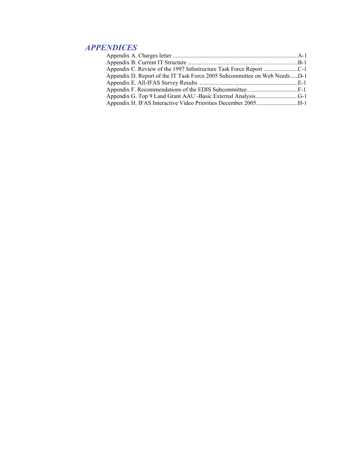# *APPENDICES*

| Appendix D. Report of the IT Task Force 2005 Subcommittee on Web NeedsD-1 |  |
|---------------------------------------------------------------------------|--|
|                                                                           |  |
|                                                                           |  |
|                                                                           |  |
|                                                                           |  |
|                                                                           |  |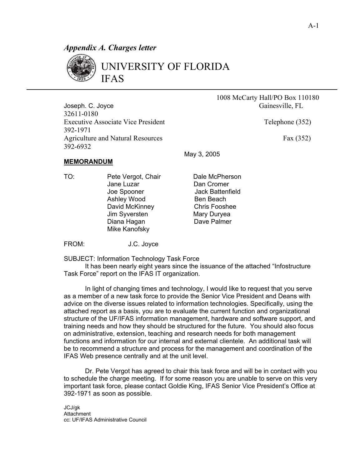## *Appendix A. Charges letter*



# UNIVERSITY OF FLORIDA IFAS

Joseph. C. Joyce Gainesville, FL 32611-0180 Executive Associate Vice President Telephone (352) 392-1971 Agriculture and Natural Resources Fax (352) 392-6932

1008 McCarty Hall/PO Box 110180

### **MEMORANDUM**

TO: Pete Vergot, Chair Dale McPherson Jane Luzar **Dan Cromer**  Joe Spooner Jack Battenfield Ashley Wood Ben Beach David McKinney Chris Fooshee Jim Syversten Mary Duryea Diana Hagan **Dave Palmer** Mike Kanofsky

May 3, 2005

FROM: J.C. Joyce

SUBJECT: Information Technology Task Force

It has been nearly eight years since the issuance of the attached "Infostructure Task Force" report on the IFAS IT organization.

In light of changing times and technology, I would like to request that you serve as a member of a new task force to provide the Senior Vice President and Deans with advice on the diverse issues related to information technologies. Specifically, using the attached report as a basis, you are to evaluate the current function and organizational structure of the UF/IFAS information management, hardware and software support, and training needs and how they should be structured for the future. You should also focus on administrative, extension, teaching and research needs for both management functions and information for our internal and external clientele. An additional task will be to recommend a structure and process for the management and coordination of the IFAS Web presence centrally and at the unit level.

Dr. Pete Vergot has agreed to chair this task force and will be in contact with you to schedule the charge meeting. If for some reason you are unable to serve on this very important task force, please contact Goldie King, IFAS Senior Vice President's Office at 392-1971 as soon as possible.

JCJ/gk **Attachment** cc: UF/IFAS Administrative Council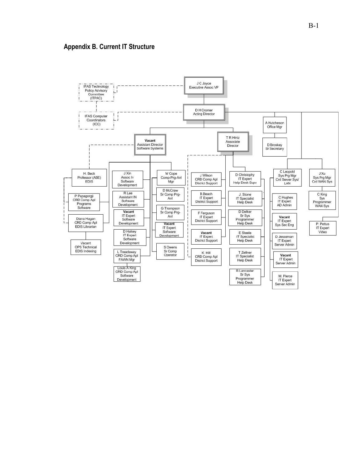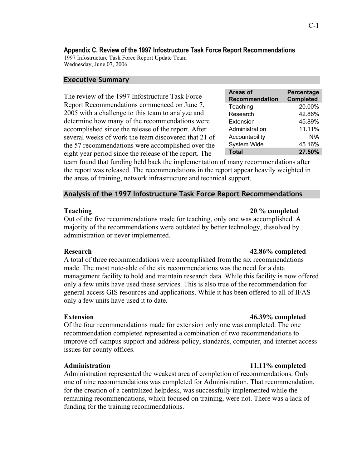## **Appendix C. Review of the 1997 Infostructure Task Force Report Recommendations**

1997 Infostructure Task Force Report Update Team Wednesday, June 07, 2006

## **Executive Summary**

The review of the 1997 Infostructure Task Force Report Recommendations commenced on June 7, 2005 with a challenge to this team to analyze and determine how many of the recommendations were accomplished since the release of the report. After several weeks of work the team discovered that 21 of the 57 recommendations were accomplished over the eight year period since the release of the report. The

| Areas of              | Percentage       |
|-----------------------|------------------|
| <b>Recommendation</b> | <b>Completed</b> |
| Teaching              | 20.00%           |
| Research              | 42.86%           |
| Extension             | 45.89%           |
| Administration        | 11.11%           |
| Accountability        | N/A              |
| System Wide           | 45.16%           |
| <b>Total</b>          | 27.50%           |

team found that funding held back the implementation of many recommendations after the report was released. The recommendations in the report appear heavily weighted in the areas of training, network infrastructure and technical support.

## **Analysis of the 1997 Infostructure Task Force Report Recommendations**

## **Teaching 20 % completed**

Out of the five recommendations made for teaching, only one was accomplished. A majority of the recommendations were outdated by better technology, dissolved by administration or never implemented.

## **Research 42.86% completed**

A total of three recommendations were accomplished from the six recommendations made. The most note-able of the six recommendations was the need for a data management facility to hold and maintain research data. While this facility is now offered only a few units have used these services. This is also true of the recommendation for general access GIS resources and applications. While it has been offered to all of IFAS only a few units have used it to date.

Of the four recommendations made for extension only one was completed. The one recommendation completed represented a combination of two recommendations to improve off-campus support and address policy, standards, computer, and internet access issues for county offices.

Administration represented the weakest area of completion of recommendations. Only one of nine recommendations was completed for Administration. That recommendation, for the creation of a centralized helpdesk, was successfully implemented while the remaining recommendations, which focused on training, were not. There was a lack of funding for the training recommendations.

## **Extension 46.39% completed**

## **Administration 11.11% completed**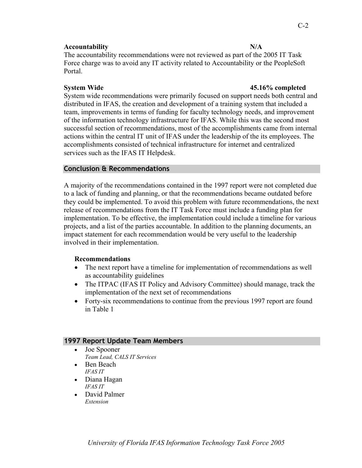## Accountability N/A

The accountability recommendations were not reviewed as part of the 2005 IT Task Force charge was to avoid any IT activity related to Accountability or the PeopleSoft Portal.

## **System Wide 45.16% completed**

System wide recommendations were primarily focused on support needs both central and distributed in IFAS, the creation and development of a training system that included a team, improvements in terms of funding for faculty technology needs, and improvement of the information technology infrastructure for IFAS. While this was the second most successful section of recommendations, most of the accomplishments came from internal actions within the central IT unit of IFAS under the leadership of the its employees. The accomplishments consisted of technical infrastructure for internet and centralized services such as the IFAS IT Helpdesk.

## **Conclusion & Recommendations**

A majority of the recommendations contained in the 1997 report were not completed due to a lack of funding and planning, or that the recommendations became outdated before they could be implemented. To avoid this problem with future recommendations, the next release of recommendations from the IT Task Force must include a funding plan for implementation. To be effective, the implementation could include a timeline for various projects, and a list of the parties accountable. In addition to the planning documents, an impact statement for each recommendation would be very useful to the leadership involved in their implementation.

### **Recommendations**

- The next report have a timeline for implementation of recommendations as well as accountability guidelines
- The ITPAC (IFAS IT Policy and Advisory Committee) should manage, track the implementation of the next set of recommendations
- Forty-six recommendations to continue from the previous 1997 report are found in Table 1

### **1997 Report Update Team Members**

- Joe Spooner *Team Lead, CALS IT Services*
- Ben Beach *IFAS IT*
- Diana Hagan *IFAS IT*
- David Palmer *Extension*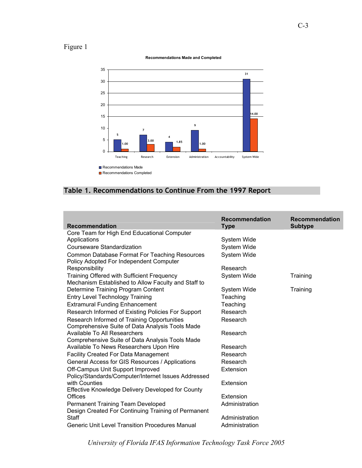# Figure 1



#### **Recommendations Made and Completed**

## **Table 1. Recommendations to Continue From the 1997 Report**

| <b>Recommendation</b>                                                                             | <b>Recommendation</b><br><b>Type</b> | <b>Recommendation</b><br><b>Subtype</b> |
|---------------------------------------------------------------------------------------------------|--------------------------------------|-----------------------------------------|
| Core Team for High End Educational Computer                                                       |                                      |                                         |
| Applications                                                                                      | System Wide                          |                                         |
| <b>Courseware Standardization</b>                                                                 | System Wide                          |                                         |
| <b>Common Database Format For Teaching Resources</b><br>Policy Adopted For Independent Computer   | <b>System Wide</b>                   |                                         |
| Responsibility                                                                                    | Research                             |                                         |
| Training Offered with Sufficient Frequency<br>Mechanism Established to Allow Faculty and Staff to | System Wide                          | Training                                |
| Determine Training Program Content                                                                | System Wide                          | Training                                |
| <b>Entry Level Technology Training</b>                                                            | Teaching                             |                                         |
| <b>Extramural Funding Enhancement</b>                                                             | Teaching                             |                                         |
| Research Informed of Existing Policies For Support                                                | Research                             |                                         |
| Research Informed of Training Opportunities<br>Comprehensive Suite of Data Analysis Tools Made    | Research                             |                                         |
| Available To All Researchers                                                                      | Research                             |                                         |
| Comprehensive Suite of Data Analysis Tools Made                                                   |                                      |                                         |
| Available To News Researchers Upon Hire                                                           | Research                             |                                         |
| <b>Facility Created For Data Management</b>                                                       | Research                             |                                         |
| General Access for GIS Resources / Applications                                                   | Research                             |                                         |
| Off-Campus Unit Support Improved<br>Policy/Standards/Computer/Internet Issues Addressed           | Extension                            |                                         |
| with Counties<br>Effective Knowledge Delivery Developed for County                                | Extension                            |                                         |
| Offices                                                                                           | Extension                            |                                         |
| Permanent Training Team Developed<br>Design Created For Continuing Training of Permanent          | Administration                       |                                         |
| Staff                                                                                             | Administration                       |                                         |
| <b>Generic Unit Level Transition Procedures Manual</b>                                            | Administration                       |                                         |

*University of Florida IFAS Information Technology Task Force 2005*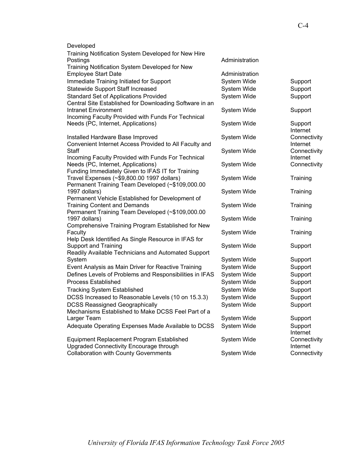| Developed<br>Training Notification System Developed for New Hire                                        |                |                          |
|---------------------------------------------------------------------------------------------------------|----------------|--------------------------|
| Postings<br>Training Notification System Developed for New                                              | Administration |                          |
| <b>Employee Start Date</b>                                                                              | Administration |                          |
| Immediate Training Initiated for Support                                                                | System Wide    | Support                  |
| <b>Statewide Support Staff Increased</b>                                                                | System Wide    | Support                  |
| <b>Standard Set of Applications Provided</b><br>Central Site Established for Downloading Software in an | System Wide    | Support                  |
| Intranet Environment<br>Incoming Faculty Provided with Funds For Technical                              | System Wide    | Support                  |
| Needs (PC, Internet, Applications)                                                                      | System Wide    | Support<br>Internet      |
| Installed Hardware Base Improved<br>Convenient Internet Access Provided to All Faculty and              | System Wide    | Connectivity<br>Internet |
| Staff<br>Incoming Faculty Provided with Funds For Technical                                             | System Wide    | Connectivity<br>Internet |
| Needs (PC, Internet, Applications)<br>Funding Immediately Given to IFAS IT for Training                 | System Wide    | Connectivity             |
| Travel Expenses (~\$9,800.00 1997 dollars)<br>Permanent Training Team Developed (~\$109,000.00          | System Wide    | Training                 |
| 1997 dollars)<br>Permanent Vehicle Established for Development of                                       | System Wide    | Training                 |
| <b>Training Content and Demands</b><br>Permanent Training Team Developed (~\$109,000.00                 | System Wide    | Training                 |
| 1997 dollars)<br>Comprehensive Training Program Established for New                                     | System Wide    | Training                 |
| Faculty<br>Help Desk Identified As Single Resource in IFAS for                                          | System Wide    | Training                 |
| <b>Support and Training</b><br>Readily Available Technicians and Automated Support                      | System Wide    | Support                  |
| System                                                                                                  | System Wide    | Support                  |
| Event Analysis as Main Driver for Reactive Training                                                     | System Wide    | Support                  |
| Defines Levels of Problems and Responsibilities in IFAS                                                 | System Wide    | Support                  |
| <b>Process Established</b>                                                                              | System Wide    | Support                  |
| <b>Tracking System Established</b>                                                                      | System Wide    | Support                  |
| DCSS Increased to Reasonable Levels (10 on 15.3.3)                                                      | System Wide    | Support                  |
| <b>DCSS Reassigned Geographically</b>                                                                   | System Wide    | Support                  |
| Mechanisms Established to Make DCSS Feel Part of a                                                      |                |                          |
| Larger Team                                                                                             | System Wide    | Support                  |
| Adequate Operating Expenses Made Available to DCSS                                                      | System Wide    | Support<br>Internet      |
| Equipment Replacement Program Established<br>Upgraded Connectivity Encourage through                    | System Wide    | Connectivity<br>Internet |
| <b>Collaboration with County Governments</b>                                                            | System Wide    | Connectivity             |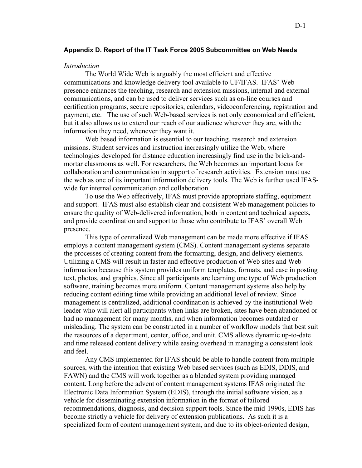#### **Appendix D. Report of the IT Task Force 2005 Subcommittee on Web Needs**

#### *Introduction*

 The World Wide Web is arguably the most efficient and effective communications and knowledge delivery tool available to UF/IFAS. IFAS' Web presence enhances the teaching, research and extension missions, internal and external communications, and can be used to deliver services such as on-line courses and certification programs, secure repositories, calendars, videoconferencing, registration and payment, etc. The use of such Web-based services is not only economical and efficient, but it also allows us to extend our reach of our audience wherever they are, with the information they need, whenever they want it.

 Web based information is essential to our teaching, research and extension missions. Student services and instruction increasingly utilize the Web, where technologies developed for distance education increasingly find use in the brick-andmortar classrooms as well. For researchers, the Web becomes an important locus for collaboration and communication in support of research activities. Extension must use the web as one of its important information delivery tools. The Web is further used IFASwide for internal communication and collaboration.

 To use the Web effectively, IFAS must provide appropriate staffing, equipment and support. IFAS must also establish clear and consistent Web management policies to ensure the quality of Web-delivered information, both in content and technical aspects, and provide coordination and support to those who contribute to IFAS' overall Web presence.

This type of centralized Web management can be made more effective if IFAS employs a content management system (CMS). Content management systems separate the processes of creating content from the formatting, design, and delivery elements. Utilizing a CMS will result in faster and effective production of Web sites and Web information because this system provides uniform templates, formats, and ease in posting text, photos, and graphics. Since all participants are learning one type of Web production software, training becomes more uniform. Content management systems also help by reducing content editing time while providing an additional level of review. Since management is centralized, additional coordination is achieved by the institutional Web leader who will alert all participants when links are broken, sites have been abandoned or had no management for many months, and when information becomes outdated or misleading. The system can be constructed in a number of workflow models that best suit the resources of a department, center, office, and unit. CMS allows dynamic up-to-date and time released content delivery while easing overhead in managing a consistent look and feel.

 Any CMS implemented for IFAS should be able to handle content from multiple sources, with the intention that existing Web based services (such as EDIS, DDIS, and FAWN) and the CMS will work together as a blended system providing managed content. Long before the advent of content management systems IFAS originated the Electronic Data Information System (EDIS), through the initial software vision, as a vehicle for disseminating extension information in the format of tailored recommendations, diagnosis, and decision support tools. Since the mid-1990s, EDIS has become strictly a vehicle for delivery of extension publications. As such it is a specialized form of content management system, and due to its object-oriented design,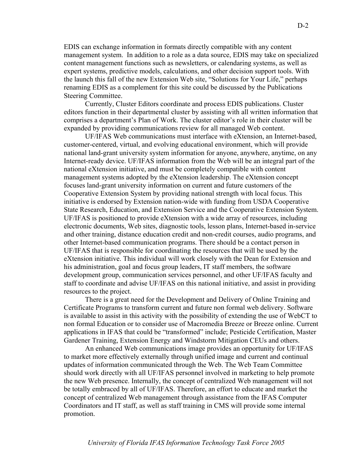EDIS can exchange information in formats directly compatible with any content management system. In addition to a role as a data source, EDIS may take on specialized content management functions such as newsletters, or calendaring systems, as well as expert systems, predictive models, calculations, and other decision support tools. With the launch this fall of the new Extension Web site, "Solutions for Your Life," perhaps renaming EDIS as a complement for this site could be discussed by the Publications Steering Committee.

Currently, Cluster Editors coordinate and process EDIS publications. Cluster editors function in their departmental cluster by assisting with all written information that comprises a department's Plan of Work. The cluster editor's role in their cluster will be expanded by providing communications review for all managed Web content.

UF/IFAS Web communications must interface with eXtension, an Internet-based, customer-centered, virtual, and evolving educational environment, which will provide national land-grant university system information for anyone, anywhere, anytime, on any Internet-ready device. UF/IFAS information from the Web will be an integral part of the national eXtension initiative, and must be completely compatible with content management systems adopted by the eXtension leadership. The eXtension concept focuses land-grant university information on current and future customers of the Cooperative Extension System by providing national strength with local focus. This initiative is endorsed by Extension nation-wide with funding from USDA Cooperative State Research, Education, and Extension Service and the Cooperative Extension System. UF/IFAS is positioned to provide eXtension with a wide array of resources, including electronic documents, Web sites, diagnostic tools, lesson plans, Internet-based in-service and other training, distance education credit and non-credit courses, audio programs, and other Internet-based communication programs. There should be a contact person in UF/IFAS that is responsible for coordinating the resources that will be used by the eXtension initiative. This individual will work closely with the Dean for Extension and his administration, goal and focus group leaders, IT staff members, the software development group, communication services personnel, and other UF/IFAS faculty and staff to coordinate and advise UF/IFAS on this national initiative, and assist in providing resources to the project.

 There is a great need for the Development and Delivery of Online Training and Certificate Programs to transform current and future non formal web delivery. Software is available to assist in this activity with the possibility of extending the use of WebCT to non formal Education or to consider use of Macromedia Breeze or Breeze online. Current applications in IFAS that could be "transformed" include; Pesticide Certification, Master Gardener Training, Extension Energy and Windstorm Mitigation CEUs and others.

An enhanced Web communications image provides an opportunity for UF/IFAS to market more effectively externally through unified image and current and continual updates of information communicated through the Web. The Web Team Committee should work directly with all UF/IFAS personnel involved in marketing to help promote the new Web presence. Internally, the concept of centralized Web management will not be totally embraced by all of UF/IFAS. Therefore, an effort to educate and market the concept of centralized Web management through assistance from the IFAS Computer Coordinators and IT staff, as well as staff training in CMS will provide some internal promotion.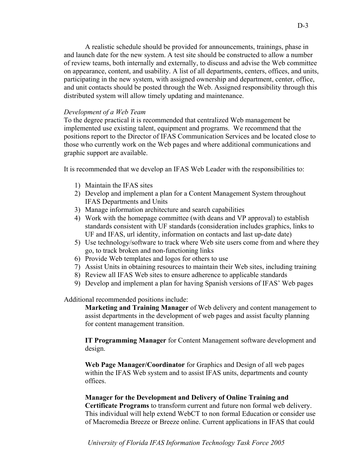A realistic schedule should be provided for announcements, trainings, phase in and launch date for the new system. A test site should be constructed to allow a number of review teams, both internally and externally, to discuss and advise the Web committee on appearance, content, and usability. A list of all departments, centers, offices, and units, participating in the new system, with assigned ownership and department, center, office, and unit contacts should be posted through the Web. Assigned responsibility through this distributed system will allow timely updating and maintenance.

## *Development of a Web Team*

To the degree practical it is recommended that centralized Web management be implemented use existing talent, equipment and programs. We recommend that the positions report to the Director of IFAS Communication Services and be located close to those who currently work on the Web pages and where additional communications and graphic support are available.

It is recommended that we develop an IFAS Web Leader with the responsibilities to:

- 1) Maintain the IFAS sites
- 2) Develop and implement a plan for a Content Management System throughout IFAS Departments and Units
- 3) Manage information architecture and search capabilities
- 4) Work with the homepage committee (with deans and VP approval) to establish standards consistent with UF standards (consideration includes graphics, links to UF and IFAS, url identity, information on contacts and last up-date date)
- 5) Use technology/software to track where Web site users come from and where they go, to track broken and non-functioning links
- 6) Provide Web templates and logos for others to use
- 7) Assist Units in obtaining resources to maintain their Web sites, including training
- 8) Review all IFAS Web sites to ensure adherence to applicable standards
- 9) Develop and implement a plan for having Spanish versions of IFAS' Web pages

Additional recommended positions include:

**Marketing and Training Manager** of Web delivery and content management to assist departments in the development of web pages and assist faculty planning for content management transition.

**IT Programming Manager** for Content Management software development and design.

**Web Page Manager/Coordinator** for Graphics and Design of all web pages within the IFAS Web system and to assist IFAS units, departments and county offices.

## **Manager for the Development and Delivery of Online Training and**

**Certificate Programs** to transform current and future non formal web delivery. This individual will help extend WebCT to non formal Education or consider use of Macromedia Breeze or Breeze online. Current applications in IFAS that could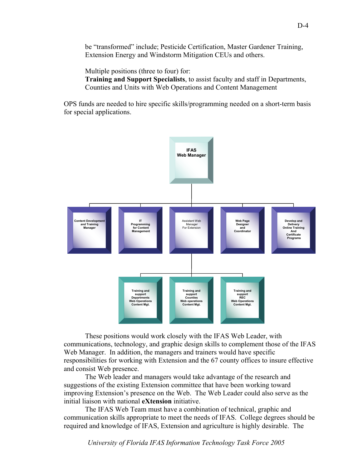be "transformed" include; Pesticide Certification, Master Gardener Training, Extension Energy and Windstorm Mitigation CEUs and others.

Multiple positions (three to four) for:

**Training and Support Specialists**, to assist faculty and staff in Departments, Counties and Units with Web Operations and Content Management

OPS funds are needed to hire specific skills/programming needed on a short-term basis for special applications.



 These positions would work closely with the IFAS Web Leader, with communications, technology, and graphic design skills to complement those of the IFAS Web Manager. In addition, the managers and trainers would have specific responsibilities for working with Extension and the 67 county offices to insure effective and consist Web presence.

 The Web leader and managers would take advantage of the research and suggestions of the existing Extension committee that have been working toward improving Extension's presence on the Web. The Web Leader could also serve as the initial liaison with national **eXtension** initiative.

 The IFAS Web Team must have a combination of technical, graphic and communication skills appropriate to meet the needs of IFAS. College degrees should be required and knowledge of IFAS, Extension and agriculture is highly desirable. The

*University of Florida IFAS Information Technology Task Force 2005*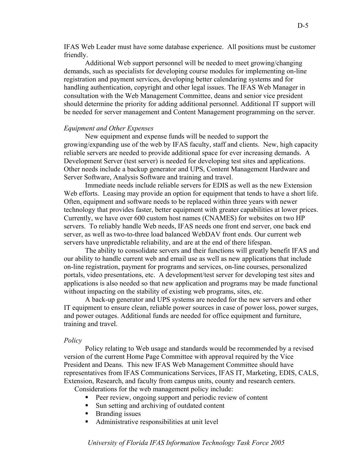IFAS Web Leader must have some database experience. All positions must be customer friendly.

 Additional Web support personnel will be needed to meet growing/changing demands, such as specialists for developing course modules for implementing on-line registration and payment services, developing better calendaring systems and for handling authentication, copyright and other legal issues. The IFAS Web Manager in consultation with the Web Management Committee, deans and senior vice president should determine the priority for adding additional personnel. Additional IT support will be needed for server management and Content Management programming on the server.

#### *Equipment and Other Expenses*

 New equipment and expense funds will be needed to support the growing/expanding use of the web by IFAS faculty, staff and clients. New, high capacity reliable servers are needed to provide additional space for ever increasing demands. A Development Server (test server) is needed for developing test sites and applications. Other needs include a backup generator and UPS, Content Management Hardware and Server Software, Analysis Software and training and travel.

Immediate needs include reliable servers for EDIS as well as the new Extension Web efforts. Leasing may provide an option for equipment that tends to have a short life. Often, equipment and software needs to be replaced within three years with newer technology that provides faster, better equipment with greater capabilities at lower prices. Currently, we have over 600 custom host names (CNAMES) for websites on two HP servers. To reliably handle Web needs, IFAS needs one front end server, one back end server, as well as two-to-three load balanced WebDAV front ends. Our current web servers have unpredictable reliability, and are at the end of there lifespan.

The ability to consolidate servers and their functions will greatly benefit IFAS and our ability to handle current web and email use as well as new applications that include on-line registration, payment for programs and services, on-line courses, personalized portals, video presentations, etc. A development/test server for developing test sites and applications is also needed so that new application and programs may be made functional without impacting on the stability of existing web programs, sites, etc.

 A back-up generator and UPS systems are needed for the new servers and other IT equipment to ensure clean, reliable power sources in case of power loss, power surges, and power outages. Additional funds are needed for office equipment and furniture, training and travel.

#### *Policy*

Policy relating to Web usage and standards would be recommended by a revised version of the current Home Page Committee with approval required by the Vice President and Deans. This new IFAS Web Management Committee should have representatives from IFAS Communications Services, IFAS IT, Marketing, EDIS, CALS, Extension, Research, and faculty from campus units, county and research centers.

Considerations for the web management policy include:

- Peer review, ongoing support and periodic review of content
- Sun setting and archiving of outdated content
- **Branding issues**
- Administrative responsibilities at unit level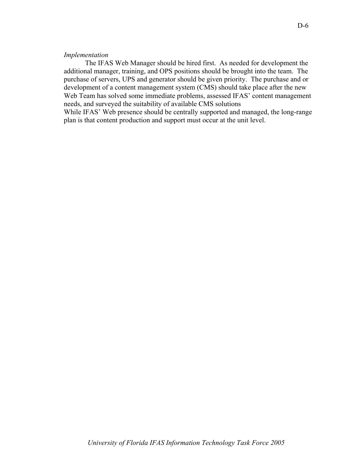### *Implementation*

 The IFAS Web Manager should be hired first. As needed for development the additional manager, training, and OPS positions should be brought into the team. The purchase of servers, UPS and generator should be given priority. The purchase and or development of a content management system (CMS) should take place after the new Web Team has solved some immediate problems, assessed IFAS' content management needs, and surveyed the suitability of available CMS solutions

While IFAS' Web presence should be centrally supported and managed, the long-range plan is that content production and support must occur at the unit level.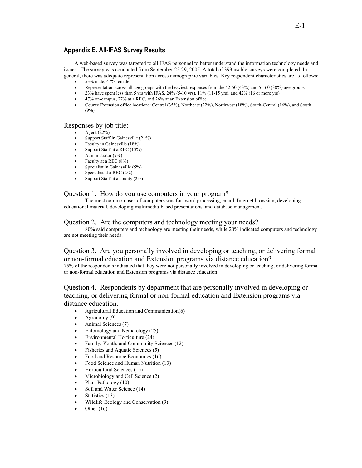## **Appendix E. All-IFAS Survey Results**

A web-based survey was targeted to all IFAS personnel to better understand the information technology needs and issues. The survey was conducted from September 22-29, 2005. A total of 393 usable surveys were completed. In general, there was adequate representation across demographic variables. Key respondent characteristics are as follows:

- 53% male, 47% female
- Representation across all age groups with the heaviest responses from the 42-50 (43%) and 51-60 (38%) age groups
- 23% have spent less than 5 yrs with IFAS, 24% (5-10 yrs),  $11\%$  (11-15 yrs), and 42% (16 or more yrs)
- 47% on-campus, 27% at a REC, and 26% at an Extension office
- County Extension office locations: Central (35%), Northeast (22%), Northwest (18%), South-Central (16%), and South  $(9%)$

#### Responses by job title:

- Agent (22%)
- Support Staff in Gainesville (21%)
- Faculty in Gainesville (18%)
- Support Staff at a REC (13%)
- Administrator  $(9\%)$
- Faculty at a REC  $(8%)$
- Specialist in Gainesville (5%)
- Specialist at a REC (2%)
- Support Staff at a county (2%)

#### Question 1. How do you use computers in your program?

The most common uses of computers was for: word processing, email, Internet browsing, developing educational material, developing multimedia-based presentations, and database management.

#### Question 2. Are the computers and technology meeting your needs?

80% said computers and technology are meeting their needs, while 20% indicated computers and technology are not meeting their needs.

#### Question 3. Are you personally involved in developing or teaching, or delivering formal or non-formal education and Extension programs via distance education? 75% of the respondents indicated that they were not personally involved in developing or teaching, or delivering formal or non-formal education and Extension programs via distance education.

Question 4. Respondents by department that are personally involved in developing or teaching, or delivering formal or non-formal education and Extension programs via distance education.

- Agricultural Education and Communication(6)
- Agronomy (9)
- Animal Sciences (7)
- Entomology and Nematology (25)
- Environmental Horticulture (24)
- Family, Youth, and Community Sciences (12)
- Fisheries and Aquatic Sciences (5)
- Food and Resource Economics (16)
- Food Science and Human Nutrition (13)
- Horticultural Sciences (15)
- Microbiology and Cell Science (2)
- Plant Pathology (10)
- Soil and Water Science (14)
- Statistics (13)
- Wildlife Ecology and Conservation (9)
- Other  $(16)$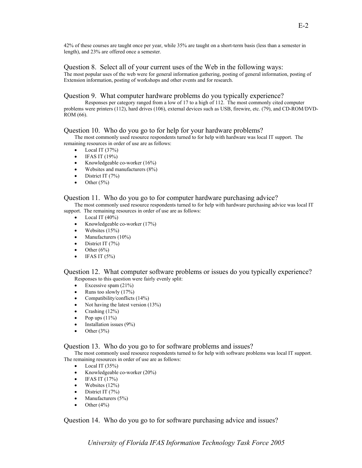42% of these courses are taught once per year, while 35% are taught on a short-term basis (less than a semester in length), and 23% are offered once a semester.

#### Question 8. Select all of your current uses of the Web in the following ways:

The most popular uses of the web were for general information gathering, posting of general information, posting of Extension information, posting of workshops and other events and for research.

### Question 9. What computer hardware problems do you typically experience?

Responses per category ranged from a low of 17 to a high of 112. The most commonly cited computer problems were printers (112), hard drives (106), external devices such as USB, firewire, etc. (79), and CD-ROM/DVD-ROM (66).

## Question 10. Who do you go to for help for your hardware problems?

The most commonly used resource respondents turned to for help with hardware was local IT support. The remaining resources in order of use are as follows:

- Local IT  $(37%)$
- $\bullet$  IFAS IT (19%)
- Knowledgeable co-worker (16%)
- Websites and manufacturers (8%)
- District IT  $(7%)$
- Other  $(5%)$

## Question 11. Who do you go to for computer hardware purchasing advice?

The most commonly used resource respondents turned to for help with hardware purchasing advice was local IT support. The remaining resources in order of use are as follows:

- Local IT  $(40\%)$
- Knowledgeable co-worker (17%)
- Websites  $(15%)$
- Manufacturers (10%)
- District IT (7%)
- Other  $(6\%)$
- $\bullet$  IFAS IT (5%)

Question 12. What computer software problems or issues do you typically experience? Responses to this question were fairly evenly split:

- Excessive spam  $(21\%)$
- Runs too slowly  $(17%)$
- Compatibility/conflicts  $(14%)$
- Not having the latest version (13%)
- Crashing  $(12\%)$
- Pop ups  $(11\%)$
- Installation issues (9%)
- Other  $(3\%)$

#### Question 13. Who do you go to for software problems and issues?

The most commonly used resource respondents turned to for help with software problems was local IT support. The remaining resources in order of use are as follows:

- Local IT  $(35\%)$
- Knowledgeable co-worker (20%)
- $\bullet$  IFAS IT (17%)
- Websites  $(12\%)$
- District IT  $(7%)$
- Manufacturers (5%)
- Other  $(4\%)$

## Question 14. Who do you go to for software purchasing advice and issues?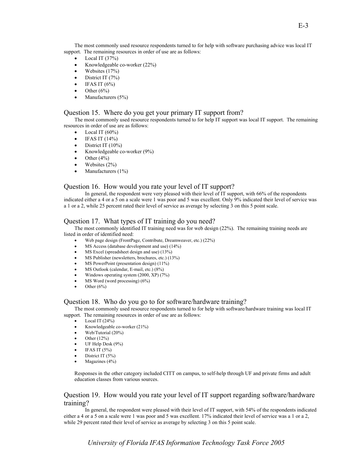The most commonly used resource respondents turned to for help with software purchasing advice was local IT support. The remaining resources in order of use are as follows:

- Local IT  $(37%)$
- Knowledgeable co-worker (22%)
- Websites  $(17%)$
- District IT  $(7%)$
- IFAS IT  $(6\%)$
- Other  $(6\%)$
- Manufacturers (5%)

#### Question 15. Where do you get your primary IT support from?

The most commonly used resource respondents turned to for help IT support was local IT support. The remaining resources in order of use are as follows:

- Local IT  $(60\%)$
- IFAS IT  $(14\%)$
- District IT  $(10\%)$
- Knowledgeable co-worker (9%)
- Other  $(4\%)$
- Websites  $(2\%)$ <br>• Manufacturers
- Manufacturers (1%)

#### Question 16. How would you rate your level of IT support?

In general, the respondent were very pleased with their level of IT support, with 66% of the respondents indicated either a 4 or a 5 on a scale were 1 was poor and 5 was excellent. Only 9% indicated their level of service was a 1 or a 2, while 25 percent rated their level of service as average by selecting 3 on this 5 point scale.

#### Question 17. What types of IT training do you need?

The most commonly identified IT training need was for web design (22%). The remaining training needs are listed in order of identified need:

- Web page design (FrontPage, Contribute, Dreamweaver, etc.) (22%)
- MS Access (database development and use) (14%)
- MS Excel (spreadsheet design and use) (13%)
- MS Publisher (newsletters, brochures, etc.) (13%)
- MS PowerPoint (presentation design) (11%)
- MS Outlook (calendar, E-mail, etc.) (8%)
- Windows operating system (2000, XP) (7%)
- $MS$  Word (word processing)  $(6\%)$
- Other  $(6\%)$

#### Question 18. Who do you go to for software/hardware training?

The most commonly used resource respondents turned to for help with software/hardware training was local IT support. The remaining resources in order of use are as follows:

- Local IT  $(24%)$
- Knowledgeable co-worker (21%)
- Web/Tutorial (20%)
- Other (12%)
- UF Help Desk (9%)
- $\bullet$  IFAS IT (5%)
- District IT (5%)
- Magazines (4%)

Responses in the other category included CITT on campus, to self-help through UF and private firms and adult education classes from various sources.

#### Question 19. How would you rate your level of IT support regarding software/hardware training?

In general, the respondent were pleased with their level of IT support, with 54% of the respondents indicated either a 4 or a 5 on a scale were 1 was poor and 5 was excellent. 17% indicated their level of service was a 1 or a 2, while 29 percent rated their level of service as average by selecting 3 on this 5 point scale.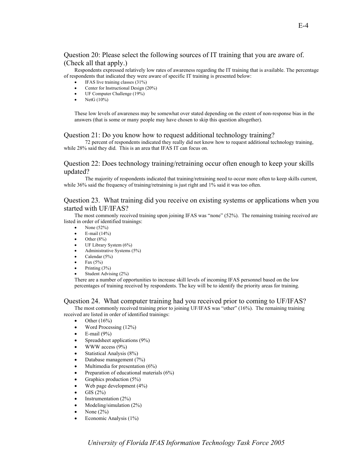### Question 20: Please select the following sources of IT training that you are aware of. (Check all that apply.)

Respondents expressed relatively low rates of awareness regarding the IT training that is available. The percentage of respondents that indicated they were aware of specific IT training is presented below:

- IFAS live training classes (31%)
- Center for Instructional Design (20%)
- UF Computer Challenge  $(19\%)$ <br>• NetG  $(10\%)$
- NetG (10%)

These low levels of awareness may be somewhat over stated depending on the extent of non-response bias in the answers (that is some or many people may have chosen to skip this question altogether).

#### Question 21: Do you know how to request additional technology training?

72 percent of respondents indicated they really did not know how to request additional technology training, while 28% said they did. This is an area that IFAS IT can focus on.

#### Question 22: Does technology training/retraining occur often enough to keep your skills updated?

The majority of respondents indicated that training/retraining need to occur more often to keep skills current, while 36% said the frequency of training/retraining is just right and 1% said it was too often.

#### Question 23. What training did you receive on existing systems or applications when you started with UF/IFAS?

The most commonly received training upon joining IFAS was "none" (52%). The remaining training received are listed in order of identified trainings:

- None (52%)
- E-mail  $(14%)$
- $\bullet$  Other (8%)
- UF Library System (6%)
- Administrative Systems (5%)
- Calendar (5%)
- Fax  $(5%)$
- Printing (3%)
- Student Advising (2%)

There are a number of opportunities to increase skill levels of incoming IFAS personnel based on the low percentages of training received by respondents. The key will be to identify the priority areas for training.

#### Question 24. What computer training had you received prior to coming to UF/IFAS?

The most commonly received training prior to joining UF/IFAS was "other" (16%). The remaining training received are listed in order of identified trainings:

- Other  $(16\%)$
- Word Processing (12%)
- $\bullet$  E-mail (9%)
- Spreadsheet applications (9%)
- WWW access  $(9\%)$
- Statistical Analysis (8%)
- Database management (7%)
- Multimedia for presentation  $(6\%)$
- Preparation of educational materials (6%)
- Graphics production  $(5\%)$
- Web page development (4%)
- GIS (2%)
- Instrumentation (2%)
- Modeling/simulation (2%)
- None  $(2\%)$
- Economic Analysis  $(1\%)$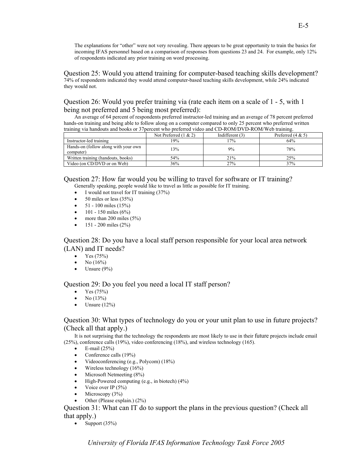The explanations for "other" were not very revealing. There appears to be great opportunity to train the basics for incoming IFAS personnel based on a comparison of responses from questions 23 and 24. For example, only 12% of respondents indicated any prior training on word processing.

Question 25: Would you attend training for computer-based teaching skills development? 74% of respondents indicated they would attend computer-based teaching skills development, while 24% indicated they would not.

## Question 26: Would you prefer training via (rate each item on a scale of 1 - 5, with 1 being not preferred and 5 being most preferred):

An average of 64 percent of respondents preferred instructor-led training and an average of 78 percent preferred hands-on training and being able to follow along on a computer compared to only 25 percent who preferred written training via handouts and books or 37percent who preferred video and CD-ROM/DVD-ROM/Web training.

|                                                    | Not Preferred $(1 \& 2)$ | Indifferent $(3)$ | Preferred $(4 & 5)$ |
|----------------------------------------------------|--------------------------|-------------------|---------------------|
| Instructor-led training                            | 19%                      | $17\%$            | 64%                 |
| Hands-on (follow along with your own)<br>computer) | 13%                      | 9%                | 78%                 |
| Written training (handouts, books)                 | 54%                      | 21%               | 25%                 |
| Video (on CD/DVD or on Web)                        | 36%                      | 27%               | 37%                 |

Question 27: How far would you be willing to travel for software or IT training?

- Generally speaking, people would like to travel as little as possible for IT training.
- I would not travel for IT training  $(37%)$
- $50$  miles or less  $(35%)$
- $51 100$  miles  $(15%)$
- $101 150$  miles  $(6%)$
- more than 200 miles (5%)
- $151 200$  miles  $(2\%)$

Question 28: Do you have a local staff person responsible for your local area network (LAN) and IT needs?

- Yes  $(75%)$
- No  $(16\%)$
- Unsure  $(9\%)$

Question 29: Do you feel you need a local IT staff person?

- Yes (75%)
- No  $(13%)$
- Unsure  $(12\%)$

## Question 30: What types of technology do you or your unit plan to use in future projects? (Check all that apply.)

It is not surprising that the technology the respondents are most likely to use in their future projects include email (25%), conference calls (19%), video conferencing (18%), and wireless technology (165).

- E-mail  $(25\%)$
- Conference calls (19%)
- Videoconferencing (e.g., Polycom) (18%)
- Wireless technology (16%)
- Microsoft Netmeeting (8%)
- High-Powered computing (e.g., in biotech)  $(4%)$
- Voice over IP  $(5\%)$
- Microscopy  $(3\%)$
- Other (Please explain.) (2%)

## Question 31: What can IT do to support the plans in the previous question? (Check all that apply.)

• Support  $(35\%)$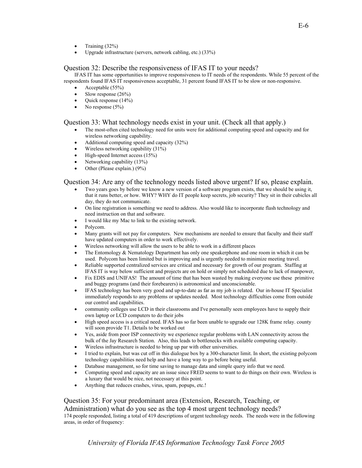- Training  $(32\%)$
- Upgrade infrastructure (servers, network cabling, etc.) (33%)

#### Question 32: Describe the responsiveness of IFAS IT to your needs?

IFAS IT has some opportunities to improve responsiveness to IT needs of the respondents. While 55 percent of the respondents found IFAS IT responsiveness acceptable, 31 percent found IFAS IT to be slow or non-responsive.

- Acceptable (55%)
- Slow response  $(26\%)$
- Quick response (14%)
- No response  $(5\%)$

## Question 33: What technology needs exist in your unit. (Check all that apply.)

- The most-often cited technology need for units were for additional computing speed and capacity and for wireless networking capability.
- Additional computing speed and capacity (32%)
- Wireless networking capability (31%)
- High-speed Internet access (15%)
- Networking capability (13%)
- Other (Please explain.) (9%)

#### Question 34: Are any of the technology needs listed above urgent? If so, please explain.

- Two years goes by before we know a new version of a software program exists, that we should be using it, that it runs better, or how. WHY? WHY do IT people keep secrets, job security? They sit in their cubicles all day, they do not communicate.
- On line registration is something we need to address. Also would like to incorporate flash technology and need instruction on that and software.
- I would like my Mac to link to the existing network.
- Polycom.
- Many grants will not pay for computers. New mechanisms are needed to ensure that faculty and their staff have updated computers in order to work effectively.
- Wireless networking will allow the users to be able to work in a different places
- The Entomology & Nematology Department has only one speakerphone and one room in which it can be used. Polycom has been limited but is improving and is urgently needed to minimize meeting travel.
- Reliable supported centralized services are critical and necessary for growth of our program. Staffing at IFAS IT is way below sufficient and projects are on hold or simply not scheduled due to lack of manpower,
- Fix EDIS and UNIFAS! The amount of time that has been wasted by making everyone use these primitive and buggy programs (and their forebearers) is astronomical and unconscionable.
- IFAS technology has been very good and up-to-date as far as my job is related. Our in-house IT Specialist immediately responds to any problems or updates needed. Most technology difficulties come from outside our control and capabilities.
- community colleges use LCD in their classrooms and I've personally seen employees have to supply their own laptop or LCD computers to do their jobs
- High speed access is a critical need. IFAS has so far been unable to upgrade our 128K frame relay. county will soon provide T1. Details to be worked out
- Yes, aside from poor ISP connectivity we experience regular problems with LAN connectivity across the bulk of the Jay Research Station. Also, this leads to bottlenecks with available computing capacity.
- Wireless infrastructure is needed to bring up par with other universities.
- I tried to explain, but was cut off in this dialogue box by a 300-character limit. In short, the existing polycom technology capabilities need help and have a long way to go before being useful.
- Database management, so for time saving to manage data and simple query info that we need.
- Computing speed and capacity are an issue since FRED seems to want to do things on their own. Wireless is a luxury that would be nice, not necessary at this point.
- Anything that reduces crashes, virus, spam, popups, etc.!

### Question 35: For your predominant area (Extension, Research, Teaching, or

#### Administration) what do you see as the top 4 most urgent technology needs?

174 people responded, listing a total of 419 descriptions of urgent technology needs. The needs were in the following areas, in order of frequency: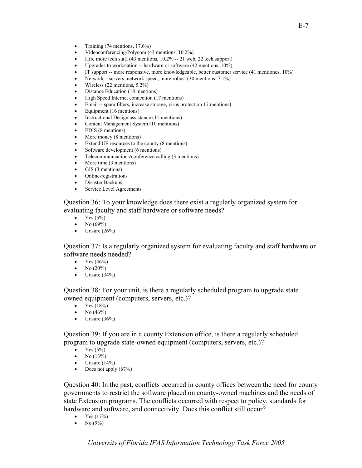- Training  $(74 \text{ mentions}, 17.6\%)$
- Videoconferencing/Polycom (43 mentions, 10.2%)
- Hire more tech staff (43 mentions, 10.2% -- 21 web, 22 tech support)
- Upgrades to workstation -- hardware or software  $(42 \text{ mentions}, 10\%)$
- IT support -- more responsive, more knowledgeable, better customer service (41 mentiones, 10%)
- Network servers, network speed, more robust (30 mentions, 7.1%)
- Wireless (22 mentions, 5.2%)
- Distance Education (18 mentions)
- High Speed Internet connection (17 mentions)
- Email -- spam filters, increase storage, virus protection 17 mentions)
- Equipment (16 mentions)
- Instructional Design assistance (11 mentions)
- Content Management System (10 mentions)
- EDIS (8 mentions)
- More money (8 mentions)
- Extend UF resources to the county (8 mentions)
- Software development (6 mentions)
- Telecommunications/conference calling (3 mentions)
- More time (3 mentions)
- GIS (3 mentions)
- Online-registrations
- Disaster Backups
- Service Level Agreements

Question 36: To your knowledge does there exist a regularly organized system for evaluating faculty and staff hardware or software needs?

- Yes  $(5\%)$
- No  $(69\%)$
- Unsure  $(26\%)$

Question 37: Is a regularly organized system for evaluating faculty and staff hardware or software needs needed?

- Yes  $(46%)$
- No  $(20\%)$
- Unsure  $(34\%)$

Question 38: For your unit, is there a regularly scheduled program to upgrade state owned equipment (computers, servers, etc.)?

- Yes  $(18%)$
- No  $(46%)$
- Unsure  $(36\%)$

Question 39: If you are in a county Extension office, is there a regularly scheduled program to upgrade state-owned equipment (computers, servers, etc.)?

- Yes  $(5%)$
- No  $(13%)$
- Unsure  $(14\%)$
- Does not apply  $(67%)$

Question 40: In the past, conflicts occurred in county offices between the need for county governments to restrict the software placed on county-owned machines and the needs of state Extension programs. The conflicts occurred with respect to policy, standards for hardware and software, and connectivity. Does this conflict still occur?

- Yes  $(17%)$
- No (9%)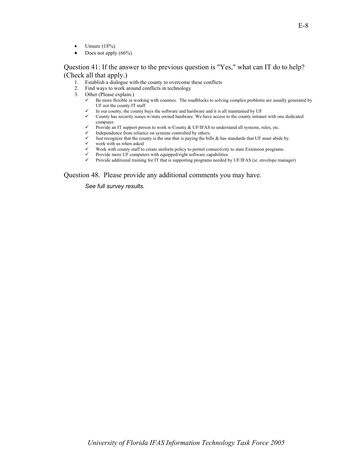- Unsure  $(18\%)$
- Does not apply  $(66\%)$

#### Question 41: If the answer to the previous question is "Yes," what can IT do to help? (Check all that apply.)

- 1. Establish a dialogue with the county to overcome these conflicts
- 2. Find ways to work around conflicts in technology
- 3. Other (Please explain.)
	- $\checkmark$  Be more flexible in working with counties. The roadblocks to solving complex problems are usually generated by UF not the county IT staff
	- In our county, the county buys the software and hardware and it is all maintained by UF<br>County has security issues w/state owned hardware. We have access to the county intrament
	- County has security issues w/state owned hardware. We have access to the county intranet with one dedicated computer.
	- Provide an IT support person to work w/County & UF/IFAS to understand all systems, rules, etc.<br>
	Independence from reliance on systems controlled by others.
	-
	- $\checkmark$  Independence from reliance on systems controlled by others.  $\checkmark$  Just recognize that the county is the one that is paying the bills & has standards that UF must abide by.<br>  $\checkmark$  work with us when asked
	- $\checkmark$  work with us when asked  $\checkmark$  Work with county staff to
	- Work with county staff to create uniform policy to permit connectivity to state Extension programs.
	- $\checkmark$  Provide more UF computers with equipped/right software capabilities  $\checkmark$  Provide additional training for IT that is supporting programs needed.
	- Provide additional training for IT that is supporting programs needed by UF/IFAS (ie. envelope manager)

Question 48. Please provide any additional comments you may have.

*See full survey results.*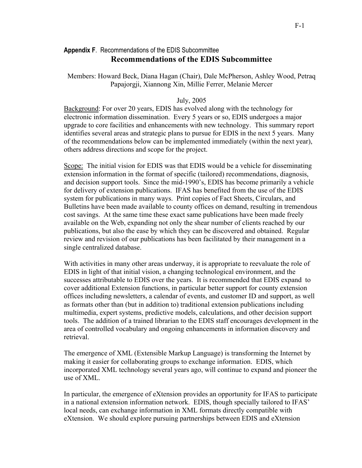## **Appendix F**. Recommendations of the EDIS Subcommittee **Recommendations of the EDIS Subcommittee**

Members: Howard Beck, Diana Hagan (Chair), Dale McPherson, Ashley Wood, Petraq Papajorgji, Xiannong Xin, Millie Ferrer, Melanie Mercer

## July, 2005

Background: For over 20 years, EDIS has evolved along with the technology for electronic information dissemination. Every 5 years or so, EDIS undergoes a major upgrade to core facilities and enhancements with new technology. This summary report identifies several areas and strategic plans to pursue for EDIS in the next 5 years. Many of the recommendations below can be implemented immediately (within the next year), others address directions and scope for the project.

Scope: The initial vision for EDIS was that EDIS would be a vehicle for disseminating extension information in the format of specific (tailored) recommendations, diagnosis, and decision support tools. Since the mid-1990's, EDIS has become primarily a vehicle for delivery of extension publications. IFAS has benefited from the use of the EDIS system for publications in many ways. Print copies of Fact Sheets, Circulars, and Bulletins have been made available to county offices on demand, resulting in tremendous cost savings. At the same time these exact same publications have been made freely available on the Web, expanding not only the shear number of clients reached by our publications, but also the ease by which they can be discovered and obtained. Regular review and revision of our publications has been facilitated by their management in a single centralized database.

With activities in many other areas underway, it is appropriate to reevaluate the role of EDIS in light of that initial vision, a changing technological environment, and the successes attributable to EDIS over the years. It is recommended that EDIS expand to cover additional Extension functions, in particular better support for county extension offices including newsletters, a calendar of events, and customer ID and support, as well as formats other than (but in addition to) traditional extension publications including multimedia, expert systems, predictive models, calculations, and other decision support tools. The addition of a trained librarian to the EDIS staff encourages development in the area of controlled vocabulary and ongoing enhancements in information discovery and retrieval.

The emergence of XML (Extensible Markup Language) is transforming the Internet by making it easier for collaborating groups to exchange information. EDIS, which incorporated XML technology several years ago, will continue to expand and pioneer the use of XML.

In particular, the emergence of eXtension provides an opportunity for IFAS to participate in a national extension information network. EDIS, though specially tailored to IFAS' local needs, can exchange information in XML formats directly compatible with eXtension. We should explore pursuing partnerships between EDIS and eXtension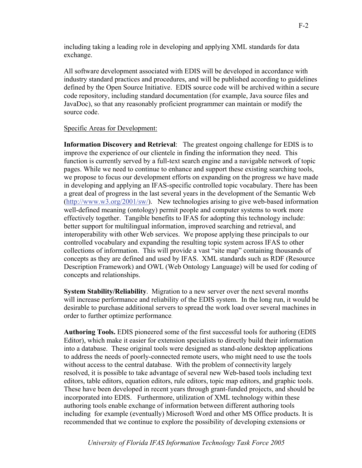including taking a leading role in developing and applying XML standards for data exchange.

All software development associated with EDIS will be developed in accordance with industry standard practices and procedures, and will be published according to guidelines defined by the Open Source Initiative. EDIS source code will be archived within a secure code repository, including standard documentation (for example, Java source files and JavaDoc), so that any reasonably proficient programmer can maintain or modify the source code.

## Specific Areas for Development:

**Information Discovery and Retrieval**: The greatest ongoing challenge for EDIS is to improve the experience of our clientele in finding the information they need. This function is currently served by a full-text search engine and a navigable network of topic pages. While we need to continue to enhance and support these existing searching tools, we propose to focus our development efforts on expanding on the progress we have made in developing and applying an IFAS-specific controlled topic vocabulary. There has been a great deal of progress in the last several years in the development of the Semantic Web (http://www.w3.org/2001/sw/). New technologies arising to give web-based information well-defined meaning (ontology) permit people and computer systems to work more effectively together. Tangible benefits to IFAS for adopting this technology include: better support for multilingual information, improved searching and retrieval, and interoperability with other Web services. We propose applying these principals to our controlled vocabulary and expanding the resulting topic system across IFAS to other collections of information. This will provide a vast "site map" containing thousands of concepts as they are defined and used by IFAS. XML standards such as RDF (Resource Description Framework) and OWL (Web Ontology Language) will be used for coding of concepts and relationships.

**System Stability/Reliability**. Migration to a new server over the next several months will increase performance and reliability of the EDIS system. In the long run, it would be desirable to purchase additional servers to spread the work load over several machines in order to further optimize performance.

**Authoring Tools.** EDIS pioneered some of the first successful tools for authoring (EDIS Editor), which make it easier for extension specialists to directly build their information into a database. These original tools were designed as stand-alone desktop applications to address the needs of poorly-connected remote users, who might need to use the tools without access to the central database. With the problem of connectivity largely resolved, it is possible to take advantage of several new Web-based tools including text editors, table editors, equation editors, rule editors, topic map editors, and graphic tools. These have been developed in recent years through grant-funded projects, and should be incorporated into EDIS. Furthermore, utilization of XML technology within these authoring tools enable exchange of information between different authoring tools including for example (eventually) Microsoft Word and other MS Office products. It is recommended that we continue to explore the possibility of developing extensions or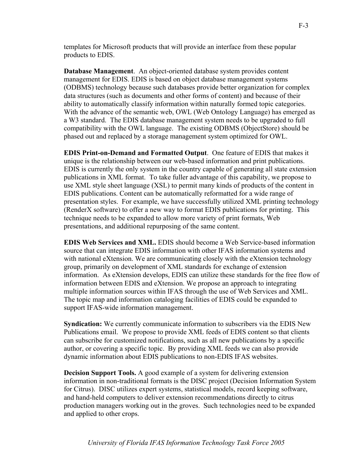templates for Microsoft products that will provide an interface from these popular products to EDIS.

**Database Management**. An object-oriented database system provides content management for EDIS. EDIS is based on object database management systems (ODBMS) technology because such databases provide better organization for complex data structures (such as documents and other forms of content) and because of their ability to automatically classify information within naturally formed topic categories. With the advance of the semantic web, OWL (Web Ontology Language) has emerged as a W3 standard. The EDIS database management system needs to be upgraded to full compatibility with the OWL language. The existing ODBMS (ObjectStore) should be phased out and replaced by a storage management system optimized for OWL.

**EDIS Print-on-Demand and Formatted Output**. One feature of EDIS that makes it unique is the relationship between our web-based information and print publications. EDIS is currently the only system in the country capable of generating all state extension publications in XML format. To take fuller advantage of this capability, we propose to use XML style sheet language (XSL) to permit many kinds of products of the content in EDIS publications. Content can be automatically reformatted for a wide range of presentation styles. For example, we have successfully utilized XML printing technology (RenderX software) to offer a new way to format EDIS publications for printing. This technique needs to be expanded to allow more variety of print formats, Web presentations, and additional repurposing of the same content.

**EDIS Web Services and XML.** EDIS should become a Web Service-based information source that can integrate EDIS information with other IFAS information systems and with national eXtension. We are communicating closely with the eXtension technology group, primarily on development of XML standards for exchange of extension information. As eXtension develops, EDIS can utilize these standards for the free flow of information between EDIS and eXtension. We propose an approach to integrating multiple information sources within IFAS through the use of Web Services and XML. The topic map and information cataloging facilities of EDIS could be expanded to support IFAS-wide information management.

**Syndication:** We currently communicate information to subscribers via the EDIS New Publications email. We propose to provide XML feeds of EDIS content so that clients can subscribe for customized notifications, such as all new publications by a specific author, or covering a specific topic. By providing XML feeds we can also provide dynamic information about EDIS publications to non-EDIS IFAS websites.

**Decision Support Tools.** A good example of a system for delivering extension information in non-traditional formats is the DISC project (Decision Information System for Citrus). DISC utilizes expert systems, statistical models, record keeping software, and hand-held computers to deliver extension recommendations directly to citrus production managers working out in the groves. Such technologies need to be expanded and applied to other crops.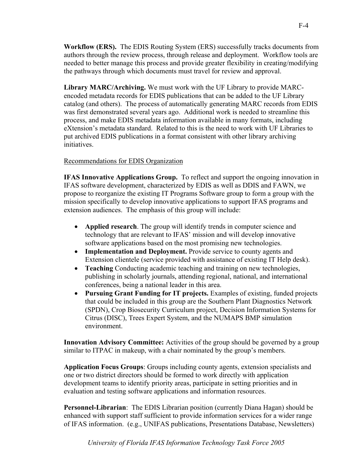**Workflow (ERS).** The EDIS Routing System (ERS) successfully tracks documents from authors through the review process, through release and deployment. Workflow tools are needed to better manage this process and provide greater flexibility in creating/modifying the pathways through which documents must travel for review and approval.

**Library MARC/Archiving.** We must work with the UF Library to provide MARCencoded metadata records for EDIS publications that can be added to the UF Library catalog (and others). The process of automatically generating MARC records from EDIS was first demonstrated several years ago. Additional work is needed to streamline this process, and make EDIS metadata information available in many formats, including eXtension's metadata standard. Related to this is the need to work with UF Libraries to put archived EDIS publications in a format consistent with other library archiving initiatives.

## Recommendations for EDIS Organization

**IFAS Innovative Applications Group.** To reflect and support the ongoing innovation in IFAS software development, characterized by EDIS as well as DDIS and FAWN, we propose to reorganize the existing IT Programs Software group to form a group with the mission specifically to develop innovative applications to support IFAS programs and extension audiences. The emphasis of this group will include:

- **Applied research**. The group will identify trends in computer science and technology that are relevant to IFAS' mission and will develop innovative software applications based on the most promising new technologies.
- **Implementation and Deployment.** Provide service to county agents and Extension clientele (service provided with assistance of existing IT Help desk).
- **Teaching** Conducting academic teaching and training on new technologies, publishing in scholarly journals, attending regional, national, and international conferences, being a national leader in this area.
- **Pursuing Grant Funding for IT projects.** Examples of existing, funded projects that could be included in this group are the Southern Plant Diagnostics Network (SPDN), Crop Biosecurity Curriculum project, Decision Information Systems for Citrus (DISC), Trees Expert System, and the NUMAPS BMP simulation environment.

**Innovation Advisory Committee:** Activities of the group should be governed by a group similar to ITPAC in makeup, with a chair nominated by the group's members.

**Application Focus Groups**: Groups including county agents, extension specialists and one or two district directors should be formed to work directly with application development teams to identify priority areas, participate in setting priorities and in evaluation and testing software applications and information resources.

**Personnel-Librarian**: The EDIS Librarian position (currently Diana Hagan) should be enhanced with support staff sufficient to provide information services for a wider range of IFAS information. (e.g., UNIFAS publications, Presentations Database, Newsletters)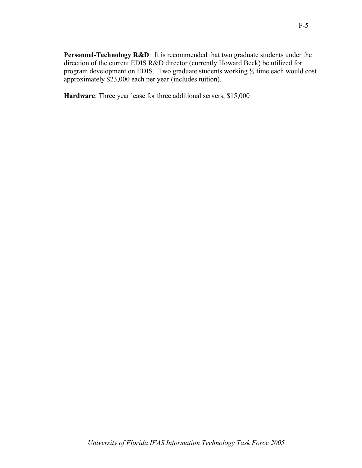**Personnel-Technology R&D**: It is recommended that two graduate students under the direction of the current EDIS R&D director (currently Howard Beck) be utilized for program development on EDIS. Two graduate students working ½ time each would cost approximately \$23,000 each per year (includes tuition).

**Hardware**: Three year lease for three additional servers, \$15,000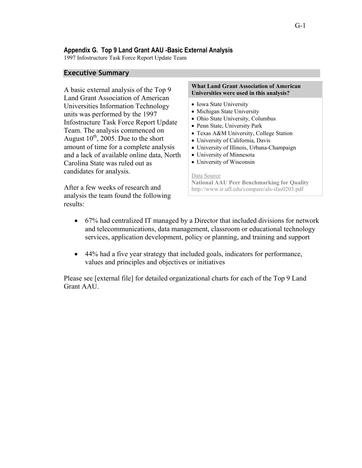## **Appendix G. Top 9 Land Grant AAU -Basic External Analysis**

1997 Infostructure Task Force Report Update Team

## **Executive Summary**

A basic external analysis of the Top 9 Land Grant Association of American Universities Information Technology units was performed by the 1997 Infostructure Task Force Report Update Team. The analysis commenced on August  $10^{th}$ , 2005. Due to the short amount of time for a complete analysis and a lack of available online data, North Carolina State was ruled out as candidates for analysis.

#### **What Land Grant Association of American Universities were used in this analysis?**

- Iowa State University
- Michigan State University
- Ohio State University, Columbus
- Penn State, University Park
- Texas A&M University, College Station
- University of California, Davis
- University of Illinois, Urbana-Champaign
- University of Minnesota
- University of Wisconsin

#### Data Source

After a few weeks of research and analysis the team found the following results:

- **National AAU Peer Benchmarking for Quality**  http://www.ir.ufl.edu/compare/als-ifas0203.pdf
- 67% had centralized IT managed by a Director that included divisions for network and telecommunications, data management, classroom or educational technology services, application development, policy or planning, and training and support
- 44% had a five year strategy that included goals, indicators for performance, values and principles and objectives or initiatives

Please see [external file] for detailed organizational charts for each of the Top 9 Land Grant AAU.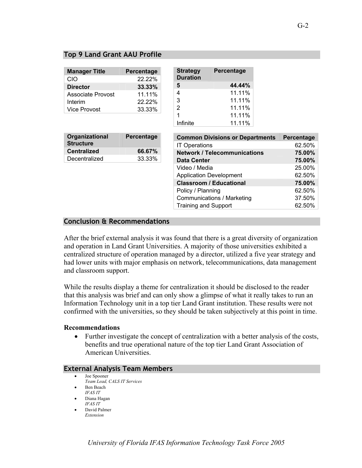## **Top 9 Land Grant AAU Profile**

| <b>Manager Title</b> | Percentage |
|----------------------|------------|
| CIO                  | 22.22%     |
| <b>Director</b>      | 33.33%     |
| Associate Provost    | 11.11%     |
| Interim              | 22.22%     |
| Vice Provost         | 33.33%     |

| <b>Strategy</b><br><b>Duration</b> | Percentage |  |
|------------------------------------|------------|--|
| 5                                  | 44.44%     |  |
| 4                                  | 11.11%     |  |
| 3                                  | 11.11%     |  |
| 2                                  | 11.11%     |  |
| 1                                  | 11.11%     |  |
| Infinite                           | 11.11%     |  |

| Organizational<br><b>Structure</b> | Percentage |  |
|------------------------------------|------------|--|
| <b>Centralized</b>                 | 66.67%     |  |
| Decentralized                      | 33.33%     |  |
|                                    |            |  |

| <b>Common Divisions or Departments</b> | Percentage |
|----------------------------------------|------------|
| <b>IT Operations</b>                   | 62.50%     |
| <b>Network / Telecommunications</b>    | 75.00%     |
| <b>Data Center</b>                     | 75.00%     |
| Video / Media                          | 25.00%     |
| <b>Application Development</b>         | 62.50%     |
| <b>Classroom / Educational</b>         | 75.00%     |
| Policy / Planning                      | 62.50%     |
| Communications / Marketing             | 37.50%     |
| <b>Training and Support</b>            | 62.50%     |

## **Conclusion & Recommendations**

After the brief external analysis it was found that there is a great diversity of organization and operation in Land Grant Universities. A majority of those universities exhibited a centralized structure of operation managed by a director, utilized a five year strategy and had lower units with major emphasis on network, telecommunications, data management and classroom support.

While the results display a theme for centralization it should be disclosed to the reader that this analysis was brief and can only show a glimpse of what it really takes to run an Information Technology unit in a top tier Land Grant institution. These results were not confirmed with the universities, so they should be taken subjectively at this point in time.

### **Recommendations**

• Further investigate the concept of centralization with a better analysis of the costs, benefits and true operational nature of the top tier Land Grant Association of American Universities.

## **External Analysis Team Members**

- Joe Spooner *Team Lead, CALS IT Services*  • Ben Beach
- *IFAS IT*  • Diana Hagan
- *IFAS IT*
- David Palmer *Extension*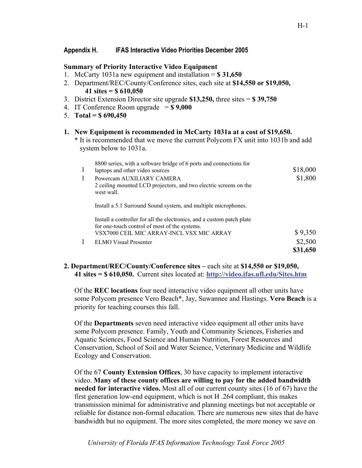## **Appendix H. IFAS Interactive Video Priorities December 2005**

## **Summary of Priority Interactive Video Equipment**

- 1. McCarty 1031a new equipment and installation = **\$ 31,650**
- 2. Department/REC/County/Conference sites, each site at **\$14,550 or \$19,050, 41 sites = \$ 610,050**
- 3. District Extension Director site upgrade **\$13,250,** three sites = **\$ 39,750**
- 4. IT Conference Room upgrade = **\$ 9,000**
- 5. **Total = \$ 690,450**

### **1. New Equipment is recommended in McCarty 1031a at a cost of \$19,650.**

\* It is recommended that we move the current Polycom FX unit into 1031b and add system below to 1031a.

| 1 | 8800 series, with a software bridge of 6 ports and connections for<br>laptops and other video sources                   | \$18,000 |
|---|-------------------------------------------------------------------------------------------------------------------------|----------|
|   | Powercam AUXILIARY CAMERA<br>2 ceiling mounted LCD projectors, and two electric screens on the<br>west wall.            | \$1,800  |
|   | Install a 5.1 Surround Sound system, and multiple microphones.                                                          |          |
|   | Install a controller for all the electronics, and a custom patch plate<br>for one-touch control of most of the systems. |          |
|   | VSX7000 CEIL MIC ARRAY-INCL VSX MIC ARRAY                                                                               | \$9,350  |
|   | ELMO Visual Presenter                                                                                                   | \$2,500  |
|   |                                                                                                                         | \$31,650 |

## **2. Department/REC/County/Conference sites –** each site at **\$14,550 or \$19,050, 41 sites = \$ 610,050.** Current sites located at: **http://video.ifas.ufl.edu/Sites.htm**

Of the **REC locations** four need interactive video equipment all other units have some Polycom presence Vero Beach\*, Jay, Suwannee and Hastings. **Vero Beach** is a priority for teaching courses this fall.

Of the **Departments** seven need interactive video equipment all other units have some Polycom presence. Family, Youth and Community Sciences, Fisheries and Aquatic Sciences, Food Science and Human Nutrition, Forest Resources and Conservation, School of Soil and Water Science, Veterinary Medicine and Wildlife Ecology and Conservation.

Of the 67 **County Extension Offices**, 30 have capacity to implement interactive video. **Many of these county offices are willing to pay for the added bandwidth needed for interactive video.** Most all of our current county sites (16 of 67) have the first generation low-end equipment, which is not H .264 compliant, this makes transmission minimal for administrative and planning meetings but not acceptable or reliable for distance non-formal education. There are numerous new sites that do have bandwidth but no equipment. The more sites completed, the more money we save on